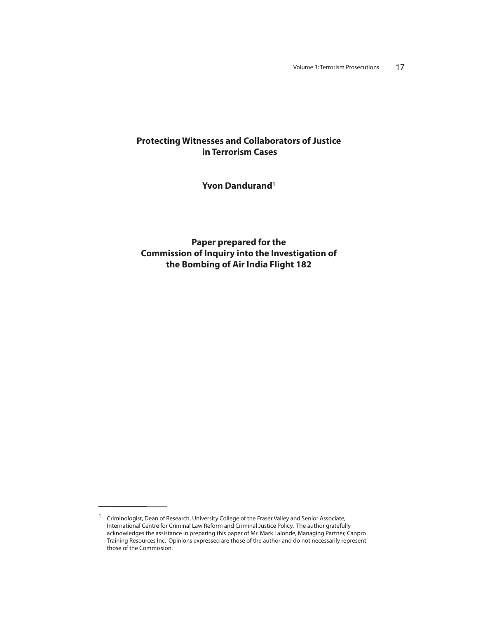# **Protecting Witnesses and Collaborators of Justice in Terrorism Cases**

**Yvon Dandurand1**

**Paper prepared for the Commission of Inquiry into the Investigation of the Bombing of Air India Flight 182**

<sup>1</sup> Criminologist, Dean of Research, University College of the Fraser Valley and Senior Associate, International Centre for Criminal Law Reform and Criminal Justice Policy. The author gratefully acknowledges the assistance in preparing this paper of Mr. Mark Lalonde, Managing Partner, Canpro Training Resources Inc. Opinions expressed are those of the author and do not necessarily represent those of the Commission.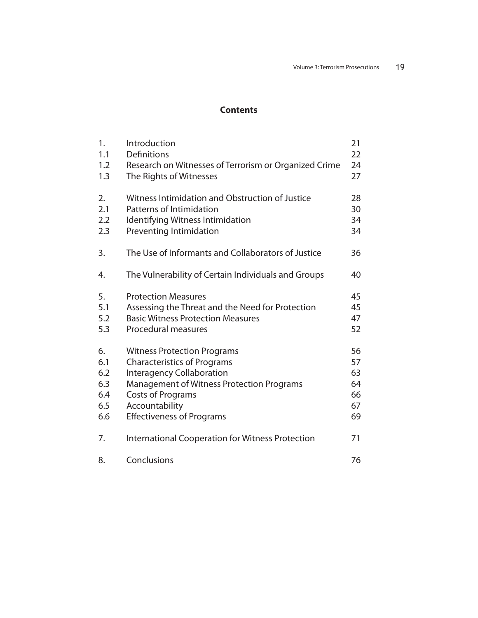# **Contents**

| 1.<br>1.1 | Introduction<br><b>Definitions</b>                                               | 21<br>22 |
|-----------|----------------------------------------------------------------------------------|----------|
| 1.2       |                                                                                  | 24       |
| 1.3       | Research on Witnesses of Terrorism or Organized Crime<br>The Rights of Witnesses | 27       |
|           |                                                                                  |          |
| 2.        | Witness Intimidation and Obstruction of Justice                                  | 28       |
| 2.1       | Patterns of Intimidation                                                         | 30       |
| 2.2       | Identifying Witness Intimidation                                                 | 34       |
| 2.3       | Preventing Intimidation                                                          | 34       |
| 3.        | The Use of Informants and Collaborators of Justice                               | 36       |
| 4.        | The Vulnerability of Certain Individuals and Groups                              | 40       |
| 5.        | <b>Protection Measures</b>                                                       | 45       |
| 5.1       | Assessing the Threat and the Need for Protection                                 | 45       |
| 5.2       | <b>Basic Witness Protection Measures</b>                                         | 47       |
| 5.3       | <b>Procedural measures</b>                                                       | 52       |
| 6.        | <b>Witness Protection Programs</b>                                               | 56       |
| 6.1       | <b>Characteristics of Programs</b>                                               | 57       |
| 6.2       | <b>Interagency Collaboration</b>                                                 | 63       |
| 6.3       | <b>Management of Witness Protection Programs</b>                                 | 64       |
| 6.4       | <b>Costs of Programs</b>                                                         | 66       |
| 6.5       | Accountability                                                                   | 67       |
| 6.6       | <b>Effectiveness of Programs</b>                                                 | 69       |
| 7.        | <b>International Cooperation for Witness Protection</b>                          | 71       |
| 8.        | Conclusions                                                                      | 76       |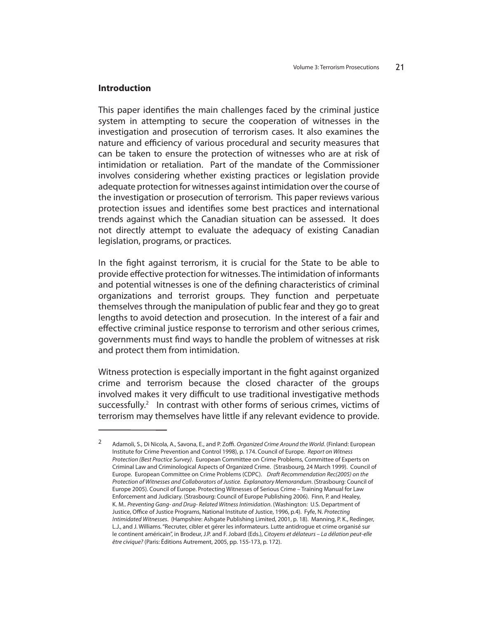### **Introduction**

This paper identifies the main challenges faced by the criminal justice system in attempting to secure the cooperation of witnesses in the investigation and prosecution of terrorism cases. It also examines the nature and efficiency of various procedural and security measures that can be taken to ensure the protection of witnesses who are at risk of intimidation or retaliation. Part of the mandate of the Commissioner involves considering whether existing practices or legislation provide adequate protection for witnesses against intimidation over the course of the investigation or prosecution of terrorism. This paper reviews various protection issues and identifies some best practices and international trends against which the Canadian situation can be assessed. It does not directly attempt to evaluate the adequacy of existing Canadian legislation, programs, or practices.

In the fight against terrorism, it is crucial for the State to be able to provide effective protection for witnesses. The intimidation of informants and potential witnesses is one of the defining characteristics of criminal organizations and terrorist groups. They function and perpetuate themselves through the manipulation of public fear and they go to great lengths to avoid detection and prosecution. In the interest of a fair and effective criminal justice response to terrorism and other serious crimes, governments must find ways to handle the problem of witnesses at risk and protect them from intimidation.

Witness protection is especially important in the fight against organized crime and terrorism because the closed character of the groups involved makes it very difficult to use traditional investigative methods successfully.<sup>2</sup> In contrast with other forms of serious crimes, victims of terrorism may themselves have little if any relevant evidence to provide.

<sup>&</sup>lt;sup>2</sup> Adamoli, S., Di Nicola, A., Savona, E., and P. Zoffi. Organized Crime Around the World. (Finland: European Institute for Crime Prevention and Control 1998), p. 174. Council of Europe. Report on Witness Protection (Best Practice Survey). European Committee on Crime Problems, Committee of Experts on Criminal Law and Criminological Aspects of Organized Crime. (Strasbourg, 24 March 1999). Council of Europe. European Committee on Crime Problems (CDPC). Draft Recommendation Rec(2005) on the Protection of Witnesses and Collaborators of Justice. Explanatory Memorandum. (Strasbourg: Council of Europe 2005). Council of Europe. Protecting Witnesses of Serious Crime – Training Manual for Law Enforcement and Judiciary. (Strasbourg: Council of Europe Publishing 2006). Finn, P. and Healey, K. M.. Preventing Gang- and Drug- Related Witness Intimidation. (Washington: U.S. Department of Justice, Office of Justice Programs, National Institute of Justice, 1996, p.4). Fyfe, N. Protecting Intimidated Witnesses. (Hampshire: Ashgate Publishing Limited, 2001, p. 18). Manning, P. K., Redinger, L.J., and J. Williams. "Recruter, cibler et gérer les informateurs. Lutte antidrogue et crime organisé sur le continent américain", in Brodeur, J.P. and F. Jobard (Eds.), Citoyens et délateurs – La délation peut-elle être civique? (Paris: Éditions Autrement, 2005, pp. 155-173, p. 172).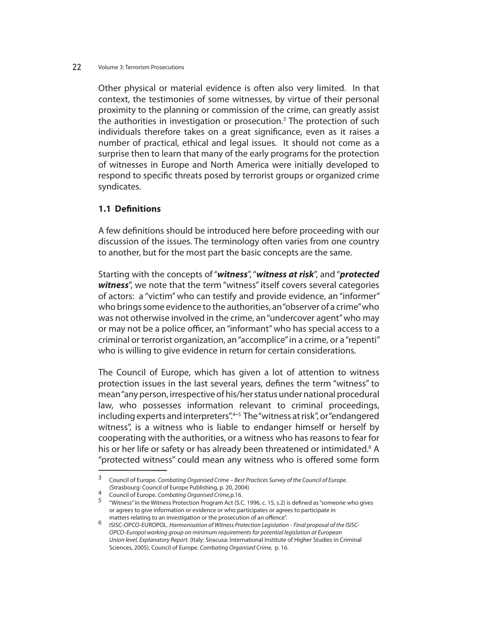Other physical or material evidence is often also very limited. In that context, the testimonies of some witnesses, by virtue of their personal proximity to the planning or commission of the crime, can greatly assist the authorities in investigation or prosecution.<sup>3</sup> The protection of such individuals therefore takes on a great significance, even as it raises a number of practical, ethical and legal issues. It should not come as a surprise then to learn that many of the early programs for the protection of witnesses in Europe and North America were initially developed to respond to specific threats posed by terrorist groups or organized crime syndicates.

## **1.1 Definitions**

A few definitions should be introduced here before proceeding with our discussion of the issues. The terminology often varies from one country to another, but for the most part the basic concepts are the same.

Starting with the concepts of "*witness*", "*witness at risk*", and "*protected witness*", we note that the term "witness" itself covers several categories of actors: a "victim" who can testify and provide evidence, an "informer" who brings some evidence to the authorities, an "observer of a crime" who was not otherwise involved in the crime, an "undercover agent" who may or may not be a police officer, an "informant" who has special access to a criminal or terrorist organization, an "accomplice" in a crime, or a "repenti" who is willing to give evidence in return for certain considerations.

The Council of Europe, which has given a lot of attention to witness protection issues in the last several years, defines the term "witness" to mean "any person, irrespective of his/her status under national procedural law, who possesses information relevant to criminal proceedings, including experts and interpreters".4-5 The "witness at risk", or "endangered witness", is a witness who is liable to endanger himself or herself by cooperating with the authorities, or a witness who has reasons to fear for his or her life or safety or has already been threatened or intimidated.<sup>6</sup> A "protected witness" could mean any witness who is offered some form

<sup>3</sup> Council of Europe. Combating Organised Crime – Best Practices Survey of the Council of Europe. (Strasbourg: Council of Europe Publishing, p. 20, 2004)

<sup>4</sup> Council of Europe. Combating Organised Crime, p.16.<br>5 "Witness" in the Witness Protection Program Act (S.C. 1996, c. 15, s.2) is defined as "someone who gives or agrees to give information or evidence or who participates or agrees to participate in matters relating to an investigation or the prosecution of an offence".

<sup>6</sup> ISISC-OPCO-EUROPOL. Harmonisation of Witness Protection Legislation - Final proposal of the ISISC- OPCO- Europol working group on minimum requirements for potential legislation at European Union level, Explanatory Report. (Italy: Siracusa: International Institute of Higher Studies in Criminal Sciences, 2005). Council of Europe. Combating Organised Crime, p. 16.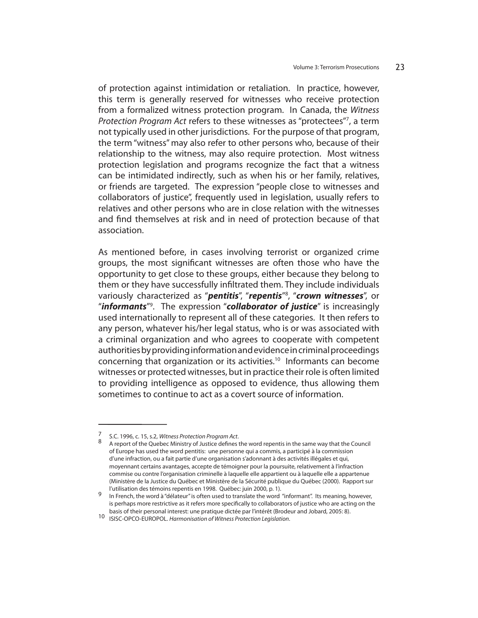of protection against intimidation or retaliation. In practice, however, this term is generally reserved for witnesses who receive protection from a formalized witness protection program. In Canada, the Witness Protection Program Act refers to these witnesses as "protectees"7, a term not typically used in other jurisdictions. For the purpose of that program, the term "witness" may also refer to other persons who, because of their relationship to the witness, may also require protection. Most witness protection legislation and programs recognize the fact that a witness can be intimidated indirectly, such as when his or her family, relatives, or friends are targeted. The expression "people close to witnesses and collaborators of justice", frequently used in legislation, usually refers to relatives and other persons who are in close relation with the witnesses and find themselves at risk and in need of protection because of that association.

As mentioned before, in cases involving terrorist or organized crime groups, the most significant witnesses are often those who have the opportunity to get close to these groups, either because they belong to them or they have successfully infiltrated them. They include individuals variously characterized as "*pentitis*", "*repentis*"8 , "*crown witnesses*", or "*informants*"9 . The expression "*collaborator of justice*" is increasingly used internationally to represent all of these categories. It then refers to any person, whatever his/her legal status, who is or was associated with a criminal organization and who agrees to cooperate with competent authorities by providing information and evidence in criminal proceedings concerning that organization or its activities.10 Informants can become witnesses or protected witnesses, but in practice their role is often limited to providing intelligence as opposed to evidence, thus allowing them sometimes to continue to act as a covert source of information.

<sup>7</sup> S.C. 1996, c. 15, s.2, Witness Protection Program Act.<br>8 A report of the Quebec Ministry of Justice defines the word repentis in the same way that the Council of Europe has used the word pentitis: une personne qui a commis, a participé à la commission d'une infraction, ou a fait partie d'une organisation s'adonnant à des activités illégales et qui, moyennant certains avantages, accepte de témoigner pour la poursuite, relativement à l'infraction commise ou contre l'organisation criminelle à laquelle elle appartient ou à laquelle elle a appartenue (Ministère de la Justice du Québec et Ministère de la Sécurité publique du Québec (2000). Rapport sur l'utilisation des témoins repentis en 1998. Québec: juin 2000, p. 1).

In French, the word à "délateur" is often used to translate the word "informant". Its meaning, however, is perhaps more restrictive as it refers more specifically to collaborators of justice who are acting on the basis of their personal interest: une pratique dictée par l'intérêt (Brodeur and Jobard, 2005: 8).

<sup>10</sup> ISISC-OPCO-EUROPOL. Harmonisation of Witness Protection Legislation.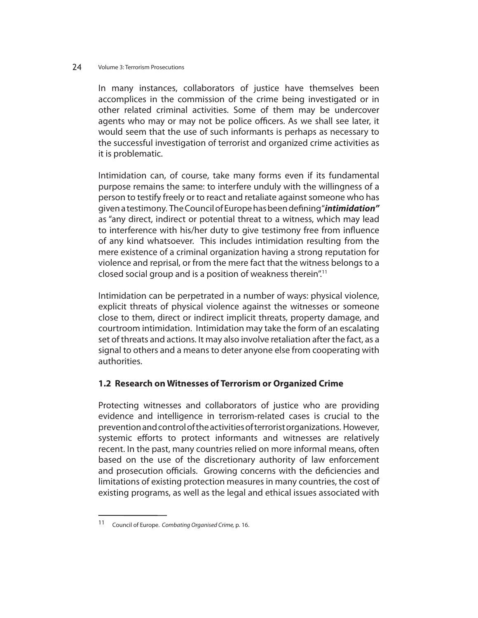In many instances, collaborators of justice have themselves been accomplices in the commission of the crime being investigated or in other related criminal activities. Some of them may be undercover agents who may or may not be police officers. As we shall see later, it would seem that the use of such informants is perhaps as necessary to the successful investigation of terrorist and organized crime activities as it is problematic.

Intimidation can, of course, take many forms even if its fundamental purpose remains the same: to interfere unduly with the willingness of a person to testify freely or to react and retaliate against someone who has given a testimony. The Council of Europe has been defining "*intimidation"* as "any direct, indirect or potential threat to a witness, which may lead to interference with his/her duty to give testimony free from influence of any kind whatsoever. This includes intimidation resulting from the mere existence of a criminal organization having a strong reputation for violence and reprisal, or from the mere fact that the witness belongs to a closed social group and is a position of weakness therein".11

Intimidation can be perpetrated in a number of ways: physical violence, explicit threats of physical violence against the witnesses or someone close to them, direct or indirect implicit threats, property damage, and courtroom intimidation. Intimidation may take the form of an escalating set of threats and actions. It may also involve retaliation after the fact, as a signal to others and a means to deter anyone else from cooperating with authorities.

## **1.2 Research on Witnesses of Terrorism or Organized Crime**

Protecting witnesses and collaborators of justice who are providing evidence and intelligence in terrorism-related cases is crucial to the prevention and control of the activities of terrorist organizations. However, systemic efforts to protect informants and witnesses are relatively recent. In the past, many countries relied on more informal means, often based on the use of the discretionary authority of law enforcement and prosecution officials. Growing concerns with the deficiencies and limitations of existing protection measures in many countries, the cost of existing programs, as well as the legal and ethical issues associated with

<sup>11</sup> Council of Europe. Combating Organised Crime, p. 16.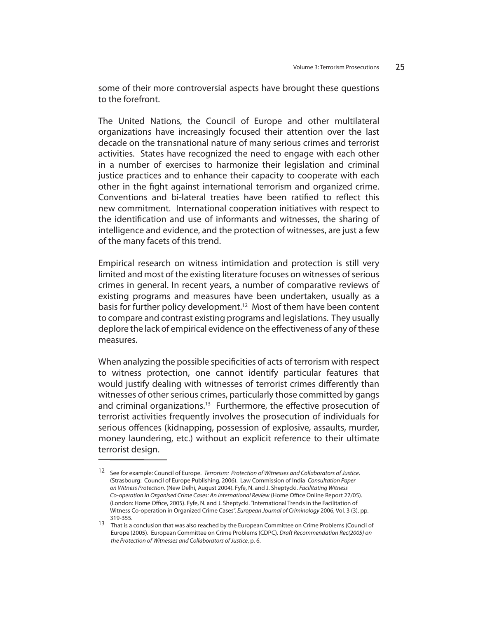some of their more controversial aspects have brought these questions to the forefront.

The United Nations, the Council of Europe and other multilateral organizations have increasingly focused their attention over the last decade on the transnational nature of many serious crimes and terrorist activities. States have recognized the need to engage with each other in a number of exercises to harmonize their legislation and criminal justice practices and to enhance their capacity to cooperate with each other in the fight against international terrorism and organized crime. Conventions and bi-lateral treaties have been ratified to reflect this new commitment. International cooperation initiatives with respect to the identification and use of informants and witnesses, the sharing of intelligence and evidence, and the protection of witnesses, are just a few of the many facets of this trend.

Empirical research on witness intimidation and protection is still very limited and most of the existing literature focuses on witnesses of serious crimes in general. In recent years, a number of comparative reviews of existing programs and measures have been undertaken, usually as a basis for further policy development.<sup>12</sup> Most of them have been content to compare and contrast existing programs and legislations. They usually deplore the lack of empirical evidence on the effectiveness of any of these measures.

When analyzing the possible specificities of acts of terrorism with respect to witness protection, one cannot identify particular features that would justify dealing with witnesses of terrorist crimes differently than witnesses of other serious crimes, particularly those committed by gangs and criminal organizations.<sup>13</sup> Furthermore, the effective prosecution of terrorist activities frequently involves the prosecution of individuals for serious offences (kidnapping, possession of explosive, assaults, murder, money laundering, etc.) without an explicit reference to their ultimate terrorist design.

<sup>12</sup> See for example: Council of Europe. Terrorism: Protection of Witnesses and Collaborators of Justice. (Strasbourg: Council of Europe Publishing, 2006). Law Commission of India Consultation Paper on Witness Protection. (New Delhi, August 2004). Fyfe, N. and J. Sheptycki. Facilitating Witness Co-operation in Organised Crime Cases: An International Review (Home Office Online Report 27/05). (London: Home Office, 2005). Fyfe, N. and J. Sheptycki. "International Trends in the Facilitation of Witness Co-operation in Organized Crime Cases", European Journal of Criminology 2006, Vol. 3 (3), pp. 319-355.

<sup>13</sup> That is a conclusion that was also reached by the European Committee on Crime Problems (Council of Europe (2005). European Committee on Crime Problems (CDPC). Draft Recommendation Rec(2005) on the Protection of Witnesses and Collaborators of Justice, p. 6.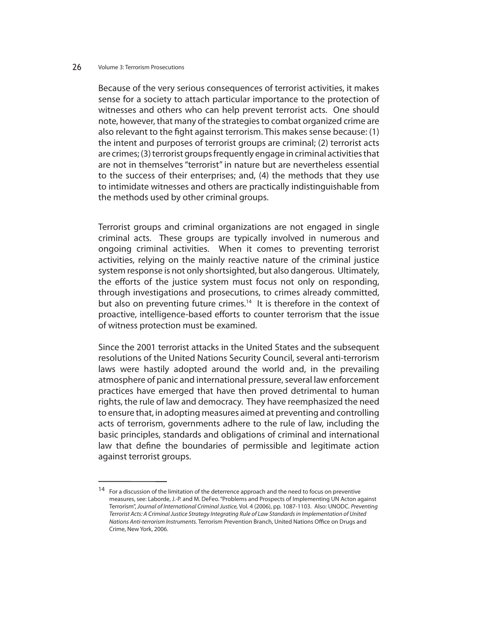Because of the very serious consequences of terrorist activities, it makes sense for a society to attach particular importance to the protection of witnesses and others who can help prevent terrorist acts. One should note, however, that many of the strategies to combat organized crime are also relevant to the fight against terrorism. This makes sense because: (1) the intent and purposes of terrorist groups are criminal; (2) terrorist acts are crimes; (3) terrorist groups frequently engage in criminal activities that are not in themselves "terrorist" in nature but are nevertheless essential to the success of their enterprises; and, (4) the methods that they use to intimidate witnesses and others are practically indistinguishable from the methods used by other criminal groups.

Terrorist groups and criminal organizations are not engaged in single criminal acts. These groups are typically involved in numerous and ongoing criminal activities. When it comes to preventing terrorist activities, relying on the mainly reactive nature of the criminal justice system response is not only shortsighted, but also dangerous. Ultimately, the efforts of the justice system must focus not only on responding, through investigations and prosecutions, to crimes already committed, but also on preventing future crimes.<sup>14</sup> It is therefore in the context of proactive, intelligence-based efforts to counter terrorism that the issue of witness protection must be examined.

Since the 2001 terrorist attacks in the United States and the subsequent resolutions of the United Nations Security Council, several anti-terrorism laws were hastily adopted around the world and, in the prevailing atmosphere of panic and international pressure, several law enforcement practices have emerged that have then proved detrimental to human rights, the rule of law and democracy. They have reemphasized the need to ensure that, in adopting measures aimed at preventing and controlling acts of terrorism, governments adhere to the rule of law, including the basic principles, standards and obligations of criminal and international law that define the boundaries of permissible and legitimate action against terrorist groups.

 $14$  For a discussion of the limitation of the deterrence approach and the need to focus on preventive measures, see: Laborde, J.-P. and M. DeFeo. "Problems and Prospects of Implementing UN Acton against Terrorism", Journal of International Criminal Justice, Vol. 4 (2006), pp. 1087-1103. Also: UNODC. Preventing Terrorist Acts: A Criminal Justice Strategy Integrating Rule of Law Standards in Implementation of United Nations Anti-terrorism Instruments. Terrorism Prevention Branch, United Nations Office on Drugs and Crime, New York, 2006.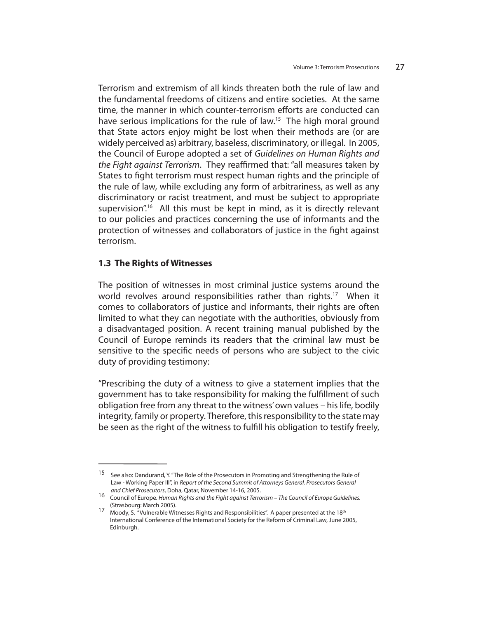Terrorism and extremism of all kinds threaten both the rule of law and the fundamental freedoms of citizens and entire societies. At the same time, the manner in which counter-terrorism efforts are conducted can have serious implications for the rule of law.<sup>15</sup> The high moral ground that State actors enjoy might be lost when their methods are (or are widely perceived as) arbitrary, baseless, discriminatory, or illegal. In 2005, the Council of Europe adopted a set of Guidelines on Human Rights and the Fight against Terrorism. They reaffirmed that: "all measures taken by States to fight terrorism must respect human rights and the principle of the rule of law, while excluding any form of arbitrariness, as well as any discriminatory or racist treatment, and must be subject to appropriate supervision".<sup>16</sup> All this must be kept in mind, as it is directly relevant to our policies and practices concerning the use of informants and the protection of witnesses and collaborators of justice in the fight against terrorism.

### **1.3 The Rights of Witnesses**

The position of witnesses in most criminal justice systems around the world revolves around responsibilities rather than rights.<sup>17</sup> When it comes to collaborators of justice and informants, their rights are often limited to what they can negotiate with the authorities, obviously from a disadvantaged position. A recent training manual published by the Council of Europe reminds its readers that the criminal law must be sensitive to the specific needs of persons who are subject to the civic duty of providing testimony:

"Prescribing the duty of a witness to give a statement implies that the government has to take responsibility for making the fulfillment of such obligation free from any threat to the witness' own values – his life, bodily integrity, family or property. Therefore, this responsibility to the state may be seen as the right of the witness to fulfill his obligation to testify freely,

<sup>15</sup> See also: Dandurand, Y. "The Role of the Prosecutors in Promoting and Strengthening the Rule of Law - Working Paper III", in Report of the Second Summit of Attorneys General, Prosecutors General and Chief Prosecutors, Doha, Qatar, November 14-16, 2005.

ana Critet Prosecutors, Doma, Qatar, November 19, 19, 2002.<br>16 Council of Europe. Human Rights and the Fight against Terrorism – The Council of Europe Guidelines.<br>16 (Strasbourg: March 2005).

<sup>17</sup> Moody, S. "Vulnerable Witnesses Rights and Responsibilities". A paper presented at the 18<sup>th</sup> International Conference of the International Society for the Reform of Criminal Law, June 2005, Edinburgh.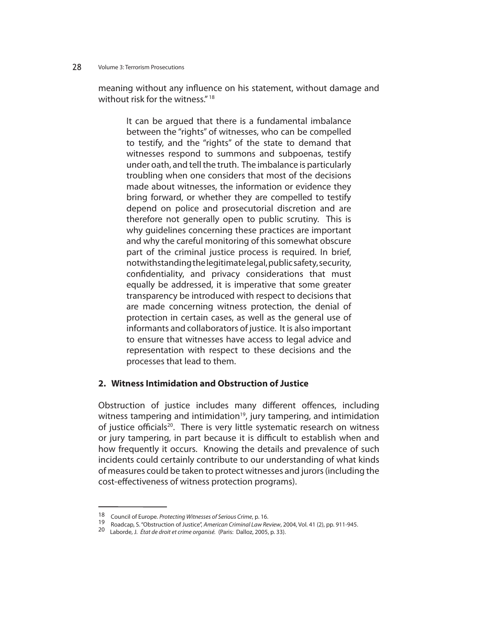meaning without any influence on his statement, without damage and without risk for the witness." 18

It can be argued that there is a fundamental imbalance between the "rights" of witnesses, who can be compelled to testify, and the "rights" of the state to demand that witnesses respond to summons and subpoenas, testify under oath, and tell the truth. The imbalance is particularly troubling when one considers that most of the decisions made about witnesses, the information or evidence they bring forward, or whether they are compelled to testify depend on police and prosecutorial discretion and are therefore not generally open to public scrutiny. This is why guidelines concerning these practices are important and why the careful monitoring of this somewhat obscure part of the criminal justice process is required. In brief, notwithstanding the legitimate legal, public safety, security, confidentiality, and privacy considerations that must equally be addressed, it is imperative that some greater transparency be introduced with respect to decisions that are made concerning witness protection, the denial of protection in certain cases, as well as the general use of informants and collaborators of justice. It is also important to ensure that witnesses have access to legal advice and representation with respect to these decisions and the processes that lead to them.

## **2. Witness Intimidation and Obstruction of Justice**

Obstruction of justice includes many different offences, including witness tampering and intimidation<sup>19</sup>, jury tampering, and intimidation of justice officials<sup>20</sup>. There is very little systematic research on witness or jury tampering, in part because it is difficult to establish when and how frequently it occurs. Knowing the details and prevalence of such incidents could certainly contribute to our understanding of what kinds of measures could be taken to protect witnesses and jurors (including the cost-effectiveness of witness protection programs).

<sup>18</sup> Council of Europe. Protecting Witnesses of Serious Crime, p. 16.<br>19 Roadcap, S. "Obstruction of Justice", American Criminal Law Review, 2004, Vol. 41 (2), pp. 911-945.<br>20 Laborde, J. État de droit et crime organisé. (Pa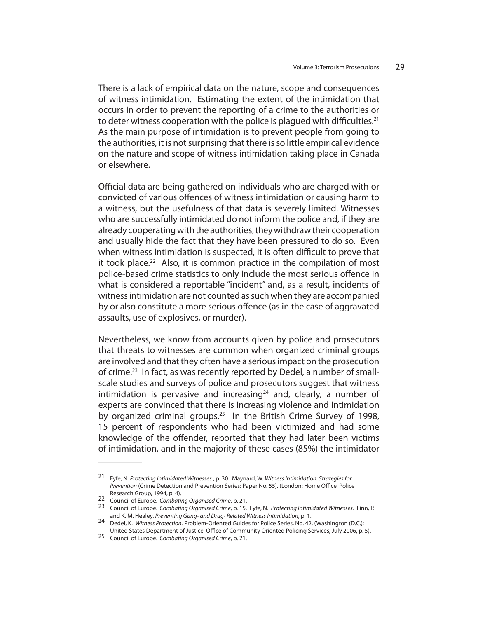There is a lack of empirical data on the nature, scope and consequences of witness intimidation. Estimating the extent of the intimidation that occurs in order to prevent the reporting of a crime to the authorities or to deter witness cooperation with the police is plagued with difficulties.<sup>21</sup> As the main purpose of intimidation is to prevent people from going to the authorities, it is not surprising that there is so little empirical evidence on the nature and scope of witness intimidation taking place in Canada or elsewhere.

Official data are being gathered on individuals who are charged with or convicted of various offences of witness intimidation or causing harm to a witness, but the usefulness of that data is severely limited. Witnesses who are successfully intimidated do not inform the police and, if they are already cooperating with the authorities, they withdraw their cooperation and usually hide the fact that they have been pressured to do so. Even when witness intimidation is suspected, it is often difficult to prove that it took place.<sup>22</sup> Also, it is common practice in the compilation of most police-based crime statistics to only include the most serious offence in what is considered a reportable "incident" and, as a result, incidents of witness intimidation are not counted as such when they are accompanied by or also constitute a more serious offence (as in the case of aggravated assaults, use of explosives, or murder).

Nevertheless, we know from accounts given by police and prosecutors that threats to witnesses are common when organized criminal groups are involved and that they often have a serious impact on the prosecution of crime.<sup>23</sup> In fact, as was recently reported by Dedel, a number of smallscale studies and surveys of police and prosecutors suggest that witness intimidation is pervasive and increasing<sup>24</sup> and, clearly, a number of experts are convinced that there is increasing violence and intimidation by organized criminal groups.<sup>25</sup> In the British Crime Survey of 1998, 15 percent of respondents who had been victimized and had some knowledge of the offender, reported that they had later been victims of intimidation, and in the majority of these cases (85%) the intimidator

<sup>21</sup> Fyfe, N. Protecting Intimidated Witnesses , p. 30. Maynard, W. Witness Intimidation: Strategies for Prevention (Crime Detection and Prevention Series: Paper No. 55). (London: Home Office, Police Research Group, 1994, p. 4).<br>22 Council of Europe. Combating Organised Crime, p. 21.

<sup>23</sup> Council of Europe. Combating Organised Crime, p. 15. Fyfe, N. Protecting Intimidated Witnesses. Finn, P. and K. M. Healey. Preventing Gang- and Drug-Related Witness Intimidation, p. 1.

and K. M. Healey. Prevention, Problem-Oriented Guides for Police Series, No. 42. (Washington (D.C.):

United States Department of Justice, Office of Community Oriented Policing Services, July 2006, p. 5).<br><sup>25</sup> Council of Europe. *Combating Organised Crime*, p. 21.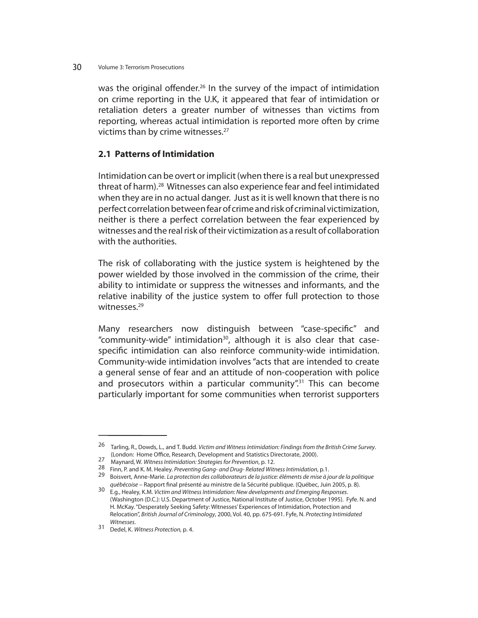was the original offender.<sup>26</sup> In the survey of the impact of intimidation on crime reporting in the U.K, it appeared that fear of intimidation or retaliation deters a greater number of witnesses than victims from reporting, whereas actual intimidation is reported more often by crime victims than by crime witnesses.<sup>27</sup>

## **2.1 Patterns of Intimidation**

Intimidation can be overt or implicit (when there is a real but unexpressed threat of harm).<sup>28</sup> Witnesses can also experience fear and feel intimidated when they are in no actual danger. Just as it is well known that there is no perfect correlation between fear of crime and risk of criminal victimization, neither is there a perfect correlation between the fear experienced by witnesses and the real risk of their victimization as a result of collaboration with the authorities.

The risk of collaborating with the justice system is heightened by the power wielded by those involved in the commission of the crime, their ability to intimidate or suppress the witnesses and informants, and the relative inability of the justice system to offer full protection to those witnesses.<sup>29</sup>

Many researchers now distinguish between "case-specific" and "community-wide" intimidation<sup>30</sup>, although it is also clear that casespecific intimidation can also reinforce community-wide intimidation. Community-wide intimidation involves "acts that are intended to create a general sense of fear and an attitude of non-cooperation with police and prosecutors within a particular community".<sup>31</sup> This can become particularly important for some communities when terrorist supporters

<sup>&</sup>lt;sup>26</sup> Tarling, R., Dowds, L., and T. Budd. Victim and Witness Intimidation: Findings from the British Crime Survey.

<sup>(</sup>London: Home Office, Research, Development and Statistics Directorate, 2000).<br>
Maynard, W. Witness Intimidation: Strategies for Prevention, p. 12.<br>
28 Finn, P. and K. M. Healey. Preventing Gang- and Drug-Related Witness I

québécoise – Rapport ministre de la ministre de la Sécurité publicue. (Québec, Juin 2005). P. 8). August 2005, p. 8). August 2005, p. 8). S. 8005, p. 8, 8005, p. 8, 8005, p. 8, 8005, p. 8, 8005, p. 8, 8005, p. 8, 8005, p. (Washington (D.C.): U.S. Department of Justice, National Institute of Justice, October 1995). Fyfe. N. and H. McKay. "Desperately Seeking Safety: Witnesses' Experiences of Intimidation, Protection and Relocation", British Journal of Criminology, 2000, Vol. 40, pp. 675-691. Fyfe, N. Protecting Intimidated

Witnesses.<br>31 Dedel, K. Witness Protection, p. 4.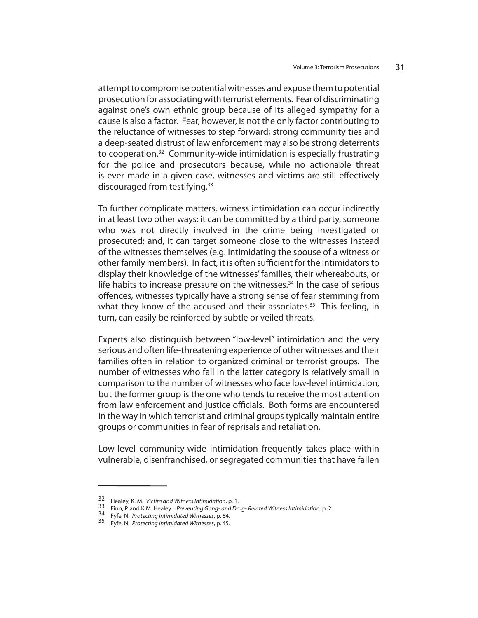attempt to compromise potential witnesses and expose them to potential prosecution for associating with terrorist elements. Fear of discriminating against one's own ethnic group because of its alleged sympathy for a cause is also a factor. Fear, however, is not the only factor contributing to the reluctance of witnesses to step forward; strong community ties and a deep-seated distrust of law enforcement may also be strong deterrents to cooperation.32 Community-wide intimidation is especially frustrating for the police and prosecutors because, while no actionable threat is ever made in a given case, witnesses and victims are still effectively discouraged from testifying.<sup>33</sup>

To further complicate matters, witness intimidation can occur indirectly in at least two other ways: it can be committed by a third party, someone who was not directly involved in the crime being investigated or prosecuted; and, it can target someone close to the witnesses instead of the witnesses themselves (e.g. intimidating the spouse of a witness or other family members). In fact, it is often sufficient for the intimidators to display their knowledge of the witnesses' families, their whereabouts, or life habits to increase pressure on the witnesses. $34$  In the case of serious offences, witnesses typically have a strong sense of fear stemming from what they know of the accused and their associates. $35$  This feeling, in turn, can easily be reinforced by subtle or veiled threats.

Experts also distinguish between "low-level" intimidation and the very serious and often life-threatening experience of other witnesses and their families often in relation to organized criminal or terrorist groups. The number of witnesses who fall in the latter category is relatively small in comparison to the number of witnesses who face low-level intimidation, but the former group is the one who tends to receive the most attention from law enforcement and justice officials. Both forms are encountered in the way in which terrorist and criminal groups typically maintain entire groups or communities in fear of reprisals and retaliation.

Low-level community-wide intimidation frequently takes place within vulnerable, disenfranchised, or segregated communities that have fallen

<sup>32</sup> Healey, K. M. *Victim and Witness Intimidation*, p. 1.<br>33 Finn, P. and K.M. Healey . *Preventing Gang- and Drug- Related Witness Intimidation*, p. 2.<br>34 Fyfe, N. *Protecting Intimidated Witnesses*, p. 84.<br>35 Fyfe, N. *P*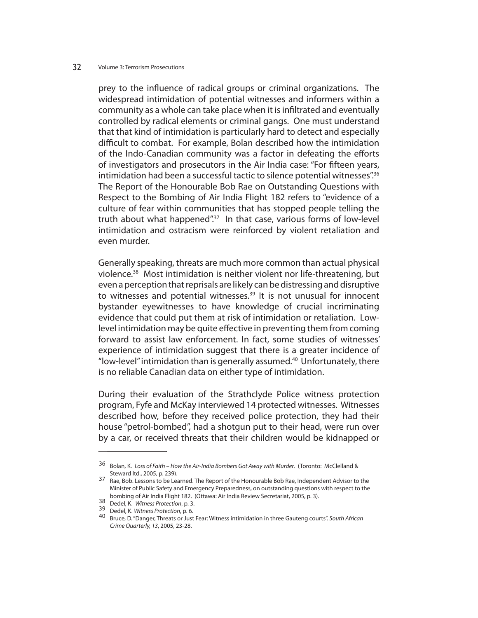prey to the influence of radical groups or criminal organizations. The widespread intimidation of potential witnesses and informers within a community as a whole can take place when it is infiltrated and eventually controlled by radical elements or criminal gangs. One must understand that that kind of intimidation is particularly hard to detect and especially difficult to combat. For example, Bolan described how the intimidation of the Indo-Canadian community was a factor in defeating the efforts of investigators and prosecutors in the Air India case: "For fifteen years, intimidation had been a successful tactic to silence potential witnesses".<sup>36</sup> The Report of the Honourable Bob Rae on Outstanding Questions with Respect to the Bombing of Air India Flight 182 refers to "evidence of a culture of fear within communities that has stopped people telling the truth about what happened".<sup>37</sup> In that case, various forms of low-level intimidation and ostracism were reinforced by violent retaliation and even murder.

Generally speaking, threats are much more common than actual physical violence.38 Most intimidation is neither violent nor life-threatening, but even a perception that reprisals are likely can be distressing and disruptive to witnesses and potential witnesses.<sup>39</sup> It is not unusual for innocent bystander eyewitnesses to have knowledge of crucial incriminating evidence that could put them at risk of intimidation or retaliation. Lowlevel intimidation may be quite effective in preventing them from coming forward to assist law enforcement. In fact, some studies of witnesses' experience of intimidation suggest that there is a greater incidence of "low-level" intimidation than is generally assumed. $40$  Unfortunately, there is no reliable Canadian data on either type of intimidation.

During their evaluation of the Strathclyde Police witness protection program, Fyfe and McKay interviewed 14 protected witnesses. Witnesses described how, before they received police protection, they had their house "petrol-bombed", had a shotgun put to their head, were run over by a car, or received threats that their children would be kidnapped or

<sup>36</sup> Bolan, K. Loss of Faith – How the Air-India Bombers Got Away with Murder. (Toronto: McClelland & Steward ltd., 2005, p. 239).

<sup>37</sup> Rae, Bob. Lessons to be Learned. The Report of the Honourable Bob Rae, Independent Advisor to the Minister of Public Safety and Emergency Preparedness, on outstanding questions with respect to the bombing of Air India Flight 182. (Ottawa: Air India Review Secretariat, 2005, p. 3).<br>38 Dedel. K. Witness Protection, p. 3.

<sup>39</sup> Dedel, K. Witness Protection, p. 6.<br>39 Dedel, K. Witness Protection, p. 6. 40 Bruce intimidation in three Gauteng courts". South African Crime Quarterly, 13, 2005, 23-28.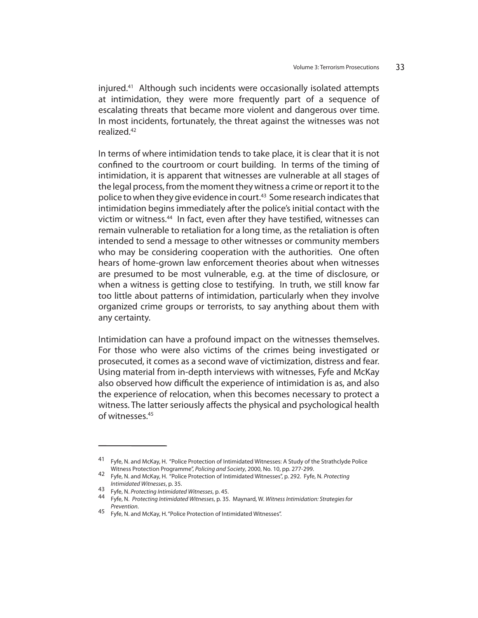injured.41 Although such incidents were occasionally isolated attempts at intimidation, they were more frequently part of a sequence of escalating threats that became more violent and dangerous over time. In most incidents, fortunately, the threat against the witnesses was not realized.42

In terms of where intimidation tends to take place, it is clear that it is not confined to the courtroom or court building. In terms of the timing of intimidation, it is apparent that witnesses are vulnerable at all stages of the legal process, from the moment they witness a crime or report it to the police to when they give evidence in court.<sup>43</sup> Some research indicates that intimidation begins immediately after the police's initial contact with the victim or witness.<sup>44</sup> In fact, even after they have testified, witnesses can remain vulnerable to retaliation for a long time, as the retaliation is often intended to send a message to other witnesses or community members who may be considering cooperation with the authorities. One often hears of home-grown law enforcement theories about when witnesses are presumed to be most vulnerable, e.g. at the time of disclosure, or when a witness is getting close to testifying. In truth, we still know far too little about patterns of intimidation, particularly when they involve organized crime groups or terrorists, to say anything about them with any certainty.

Intimidation can have a profound impact on the witnesses themselves. For those who were also victims of the crimes being investigated or prosecuted, it comes as a second wave of victimization, distress and fear. Using material from in-depth interviews with witnesses, Fyfe and McKay also observed how difficult the experience of intimidation is as, and also the experience of relocation, when this becomes necessary to protect a witness. The latter seriously affects the physical and psychological health of witnesses.45

<sup>41</sup> Fyfe, N. and McKay, H. "Police Protection of Intimidated Witnesses: A Study of the Strathclyde Police

Witness Protection Programme", Policing and Society, 2000, No. 10, pp. 277-299.<br>42 Fyfe, N. and McKay, H. "Police Protection of Intimidated Witnesses", p. 292. Fyfe, N. Protecting

Intimidated Witnesses, p. 35.<br>43 Fyfe, N. Protecting Intimidated Witnesses, p. 45.<br>44 Fyfe, N. Protecting Intimidated Witnesses, p. 35. Maynard, W. Witness Intimidation: Strategies for Prevention.<br>45 Fyfe, N. and McKay, H. "Police Protection of Intimidated Witnesses".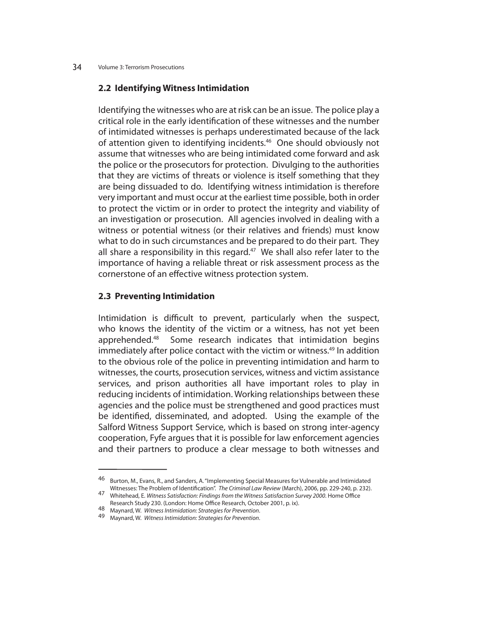## **2.2 Identifying Witness Intimidation**

Identifying the witnesses who are at risk can be an issue. The police play a critical role in the early identification of these witnesses and the number of intimidated witnesses is perhaps underestimated because of the lack of attention given to identifying incidents.<sup>46</sup> One should obviously not assume that witnesses who are being intimidated come forward and ask the police or the prosecutors for protection. Divulging to the authorities that they are victims of threats or violence is itself something that they are being dissuaded to do. Identifying witness intimidation is therefore very important and must occur at the earliest time possible, both in order to protect the victim or in order to protect the integrity and viability of an investigation or prosecution. All agencies involved in dealing with a witness or potential witness (or their relatives and friends) must know what to do in such circumstances and be prepared to do their part. They all share a responsibility in this regard.<sup>47</sup> We shall also refer later to the importance of having a reliable threat or risk assessment process as the cornerstone of an effective witness protection system.

## **2.3 Preventing Intimidation**

Intimidation is difficult to prevent, particularly when the suspect, who knows the identity of the victim or a witness, has not yet been apprehended.<sup>48</sup> Some research indicates that intimidation begins immediately after police contact with the victim or witness.<sup>49</sup> In addition to the obvious role of the police in preventing intimidation and harm to witnesses, the courts, prosecution services, witness and victim assistance services, and prison authorities all have important roles to play in reducing incidents of intimidation. Working relationships between these agencies and the police must be strengthened and good practices must be identified, disseminated, and adopted. Using the example of the Salford Witness Support Service, which is based on strong inter-agency cooperation, Fyfe argues that it is possible for law enforcement agencies and their partners to produce a clear message to both witnesses and

<sup>46</sup> Burton, M., Evans, R., and Sanders, A. "Implementing Special Measures for Vulnerable and Intimidated<br>Witnesses: The Problem of Identification". The Criminal Law Review (March), 2006, pp. 229-240, p. 232).

<sup>47</sup> Whitehead, E. Witness Satisfaction: Findings from the Witness Satisfaction Survey 2000. Home Office

Research Study 230. (London: Home Office Research, October 2001, p. ix).<br>48 Maynard, W. Witness Intimidation: Strategies for Prevention.<br>49 Maynard, W. Witness Intimidation: Strategies for Prevention.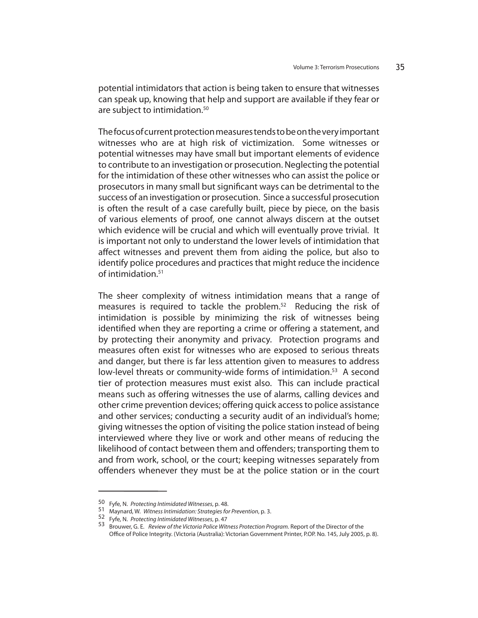potential intimidators that action is being taken to ensure that witnesses can speak up, knowing that help and support are available if they fear or are subject to intimidation.<sup>50</sup>

The focus of current protection measures tends to be on the very important witnesses who are at high risk of victimization. Some witnesses or potential witnesses may have small but important elements of evidence to contribute to an investigation or prosecution. Neglecting the potential for the intimidation of these other witnesses who can assist the police or prosecutors in many small but significant ways can be detrimental to the success of an investigation or prosecution. Since a successful prosecution is often the result of a case carefully built, piece by piece, on the basis of various elements of proof, one cannot always discern at the outset which evidence will be crucial and which will eventually prove trivial. It is important not only to understand the lower levels of intimidation that affect witnesses and prevent them from aiding the police, but also to identify police procedures and practices that might reduce the incidence of intimidation.51

The sheer complexity of witness intimidation means that a range of measures is required to tackle the problem.52 Reducing the risk of intimidation is possible by minimizing the risk of witnesses being identified when they are reporting a crime or offering a statement, and by protecting their anonymity and privacy. Protection programs and measures often exist for witnesses who are exposed to serious threats and danger, but there is far less attention given to measures to address low-level threats or community-wide forms of intimidation.<sup>53</sup> A second tier of protection measures must exist also. This can include practical means such as offering witnesses the use of alarms, calling devices and other crime prevention devices; offering quick access to police assistance and other services; conducting a security audit of an individual's home; giving witnesses the option of visiting the police station instead of being interviewed where they live or work and other means of reducing the likelihood of contact between them and offenders; transporting them to and from work, school, or the court; keeping witnesses separately from offenders whenever they must be at the police station or in the court

<sup>50</sup> Fyfe, N. Protecting Intimidated Witnesses, p. 48.<br>51 Maynard, W. Witness Intimidation: Strategies for Prevention, p. 3.<br>52 Fyfe, N. Protecting Intimidated Witnesses, p. 47<br>53 Brouwer, G. E. Review of the Victoria Police Office of Police Integrity. (Victoria (Australia): Victorian Government Printer, P.OP. No. 145, July 2005, p. 8).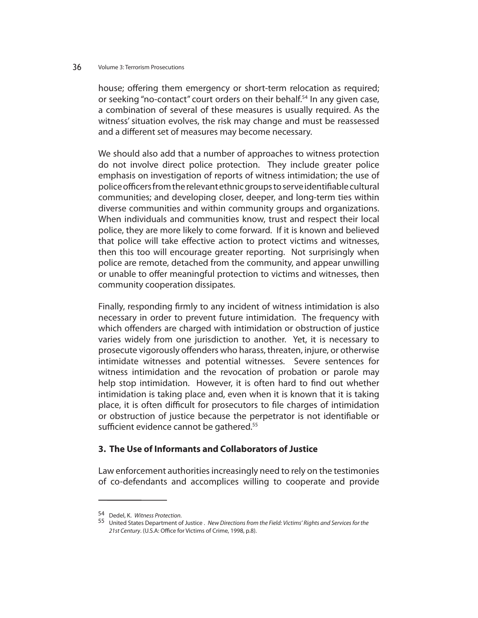house; offering them emergency or short-term relocation as required; or seeking "no-contact" court orders on their behalf.<sup>54</sup> In any given case, a combination of several of these measures is usually required. As the witness' situation evolves, the risk may change and must be reassessed and a different set of measures may become necessary.

We should also add that a number of approaches to witness protection do not involve direct police protection. They include greater police emphasis on investigation of reports of witness intimidation; the use of police officers from the relevant ethnic groups to serve identifiable cultural communities; and developing closer, deeper, and long-term ties within diverse communities and within community groups and organizations. When individuals and communities know, trust and respect their local police, they are more likely to come forward. If it is known and believed that police will take effective action to protect victims and witnesses, then this too will encourage greater reporting. Not surprisingly when police are remote, detached from the community, and appear unwilling or unable to offer meaningful protection to victims and witnesses, then community cooperation dissipates.

Finally, responding firmly to any incident of witness intimidation is also necessary in order to prevent future intimidation. The frequency with which offenders are charged with intimidation or obstruction of justice varies widely from one jurisdiction to another. Yet, it is necessary to prosecute vigorously offenders who harass, threaten, injure, or otherwise intimidate witnesses and potential witnesses. Severe sentences for witness intimidation and the revocation of probation or parole may help stop intimidation. However, it is often hard to find out whether intimidation is taking place and, even when it is known that it is taking place, it is often difficult for prosecutors to file charges of intimidation or obstruction of justice because the perpetrator is not identifiable or sufficient evidence cannot be gathered.<sup>55</sup>

## **3. The Use of Informants and Collaborators of Justice**

Law enforcement authorities increasingly need to rely on the testimonies of co-defendants and accomplices willing to cooperate and provide

<sup>54</sup> Dedel, K. Witness Protection.

<sup>55</sup> United States Department of Justice . New Directions from the Field: Victims' Rights and Services for the 21st Century. (U.S.A: Office for Victims of Crime, 1998, p.8).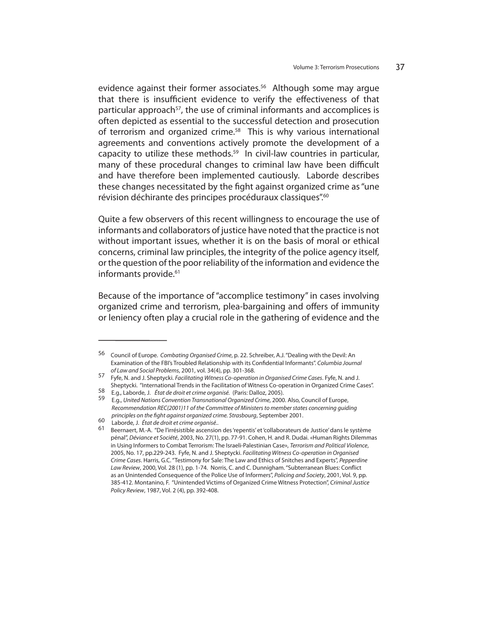evidence against their former associates.<sup>56</sup> Although some may argue that there is insufficient evidence to verify the effectiveness of that particular approach<sup>57</sup>, the use of criminal informants and accomplices is often depicted as essential to the successful detection and prosecution of terrorism and organized crime.<sup>58</sup> This is why various international agreements and conventions actively promote the development of a capacity to utilize these methods. $59$  In civil-law countries in particular, many of these procedural changes to criminal law have been difficult and have therefore been implemented cautiously. Laborde describes these changes necessitated by the fight against organized crime as "une révision déchirante des principes procéduraux classiques".60

Quite a few observers of this recent willingness to encourage the use of informants and collaborators of justice have noted that the practice is not without important issues, whether it is on the basis of moral or ethical concerns, criminal law principles, the integrity of the police agency itself, or the question of the poor reliability of the information and evidence the informants provide.<sup>61</sup>

Because of the importance of "accomplice testimony" in cases involving organized crime and terrorism, plea-bargaining and offers of immunity or leniency often play a crucial role in the gathering of evidence and the

<sup>56</sup> Council of Europe. Combating Organised Crime, p. 22. Schreiber, A.J. "Dealing with the Devil: An Examination of the FBI's Troubled Relationship with its Confidential Informants". Columbia Journal

of Law and Social Problems, 2001, vol. 34(4), pp. 301-368. **Facilitating Witness Co-operation in Organised Crime Cases. Fyfe, N. and J.** Sheptycki. Facilitating Witness Co-operation in Organised Crime Cases. Fyfe, N. and J Sheptycki. "International Trends in the Facilitation of Witness Co-operation in Organized Crime Cases".

<sup>58</sup> E.g., Laborde, J. État de droit et crime organisé. (Paris: Dalloz, 2005).

<sup>59</sup> E.g., United Nations Convention Transnational Organized Crime, 2000. Also, Council of Europe, Recommendation REC(2001)11 of the Committee of Ministers to member states concerning guiding principles on the fight against organized crime. Strasbourg, September 2001.<br>
60 Laborde, J. État de droit et crime organisé..<br>
61 Beernaert, M.-A. "De l'irrésistible ascension des 'repentis' et 'collaborateurs de Justice'

pénal", Déviance et Société, 2003, No. 27(1), pp. 77-91. Cohen, H. and R. Dudai. «Human Rights Dilemmas in Using Informers to Combat Terrorism: The Israeli-Palestinian Case», Terrorism and Political Violence, 2005, No. 17, pp.229-243. Fyfe, N. and J. Sheptycki. Facilitating Witness Co-operation in Organised Crime Cases. Harris, G.C. "Testimony for Sale: The Law and Ethics of Snitches and Experts", Pepperdine Law Review, 2000, Vol. 28 (1), pp. 1-74. Norris, C. and C. Dunnigham. "Subterranean Blues: Conflict as an Unintended Consequence of the Police Use of Informers", Policing and Society, 2001, Vol. 9, pp. 385-412. Montanino, F. "Unintended Victims of Organized Crime Witness Protection", Criminal Justice Policy Review, 1987, Vol. 2 (4), pp. 392-408.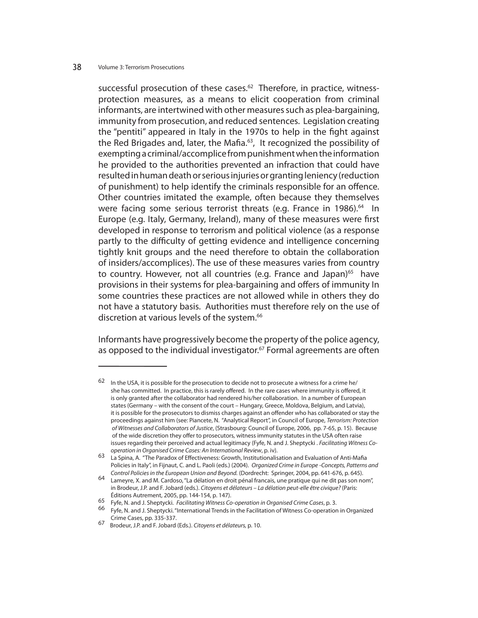successful prosecution of these cases. $62$  Therefore, in practice, witnessprotection measures, as a means to elicit cooperation from criminal informants, are intertwined with other measures such as plea-bargaining, immunity from prosecution, and reduced sentences. Legislation creating the "pentiti" appeared in Italy in the 1970s to help in the fight against the Red Brigades and, later, the Mafia.<sup>63</sup>, It recognized the possibility of exempting a criminal/accomplice from punishment when the information he provided to the authorities prevented an infraction that could have resulted in human death or serious injuries or granting leniency (reduction of punishment) to help identify the criminals responsible for an offence. Other countries imitated the example, often because they themselves were facing some serious terrorist threats (e.g. France in 1986).<sup>64</sup> In Europe (e.g. Italy, Germany, Ireland), many of these measures were first developed in response to terrorism and political violence (as a response partly to the difficulty of getting evidence and intelligence concerning tightly knit groups and the need therefore to obtain the collaboration of insiders/accomplices). The use of these measures varies from country to country. However, not all countries (e.g. France and Japan)<sup>65</sup> have provisions in their systems for plea-bargaining and offers of immunity In some countries these practices are not allowed while in others they do not have a statutory basis. Authorities must therefore rely on the use of discretion at various levels of the system.<sup>66</sup>

Informants have progressively become the property of the police agency, as opposed to the individual investigator.<sup>67</sup> Formal agreements are often

In the USA, it is possible for the prosecution to decide not to prosecute a witness for a crime he/ she has committed. In practice, this is rarely offered. In the rare cases where immunity is offered, it is only granted after the collaborator had rendered his/her collaboration. In a number of European states (Germany – with the consent of the court – Hungary, Greece, Moldova, Belgium, and Latvia), it is possible for the prosecutors to dismiss charges against an offender who has collaborated or stay the proceedings against him (see: Piancete, N. "Analytical Report", in Council of Europe, Terrorism: Protection of Witnesses and Collaborators of Justice, (Strasbourg: Council of Europe, 2006, pp. 7-65, p. 15). Because of the wide discretion they offer to prosecutors, witness immunity statutes in the USA often raise issues regarding their perceived and actual legitimacy (Fyfe, N. and J. Sheptycki . Facilitating Witness Co-

operation in Organised Crime Cases: An International Review, p. iv).<br>63 La Spina, A. "The Paradox of Effectiveness: Growth, Institutionalisation and Evaluation of Anti-Mafia Policies in Italy", in Fijnaut, C. and L. Paoli (eds.) (2004). Organized Crime in Europe -Concepts, Patterns and

Control Policies in the European Union and Beyond. (Dordrecht: Springer, 2004, pp. 641-676, p. 645). 64 Lameyre, X. and M. Cardoso, "La délation en droit pénal francais, une pratique qui ne dit pas son nom", in Brodeur, J.P. and F. Jobard (eds.). Citoyens et délateurs – La délation peut-elle être civique? (Paris: Éditions Autrement, 2005, pp. 144-154, p. 147).

Fyfe, N. and J. Sheptycki. *Facilitating Witness Co-operation in Organised Crime Cases*, p. 3.<br><sup>66</sup> Fyfe, N. and J. Sheptycki. "International Trends in the Facilitation of Witness Co-operation in Organized Crime Cases, pp. 335-337.

<sup>67</sup> Brodeur, J.P. and F. Jobard (Eds.). Citoyens et délateurs, p. 10.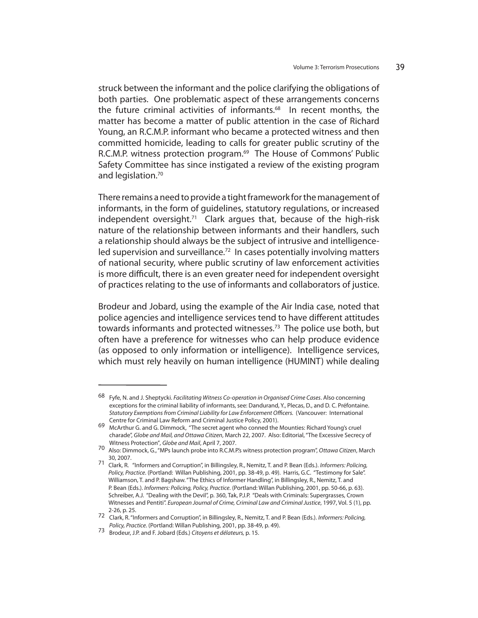struck between the informant and the police clarifying the obligations of both parties. One problematic aspect of these arrangements concerns the future criminal activities of informants.<sup>68</sup> In recent months, the matter has become a matter of public attention in the case of Richard Young, an R.C.M.P. informant who became a protected witness and then committed homicide, leading to calls for greater public scrutiny of the R.C.M.P. witness protection program.<sup>69</sup> The House of Commons' Public Safety Committee has since instigated a review of the existing program and legislation.<sup>70</sup>

There remains a need to provide a tight framework for the management of informants, in the form of guidelines, statutory regulations, or increased independent oversight.<sup>71</sup> Clark argues that, because of the high-risk nature of the relationship between informants and their handlers, such a relationship should always be the subject of intrusive and intelligenceled supervision and surveillance.<sup>72</sup> In cases potentially involving matters of national security, where public scrutiny of law enforcement activities is more difficult, there is an even greater need for independent oversight of practices relating to the use of informants and collaborators of justice.

Brodeur and Jobard, using the example of the Air India case, noted that police agencies and intelligence services tend to have different attitudes towards informants and protected witnesses.<sup>73</sup> The police use both, but often have a preference for witnesses who can help produce evidence (as opposed to only information or intelligence). Intelligence services, which must rely heavily on human intelligence (HUMINT) while dealing

<sup>68</sup> Fyfe, N. and J. Sheptycki. Facilitating Witness Co-operation in Organised Crime Cases. Also concerning exceptions for the criminal liability of informants, see: Dandurand, Y., Plecas, D., and D. C. Préfontaine. Statutory Exemptions from Criminal Liability for Law Enforcement Officers. (Vancouver: International Centre for Criminal Law Reform and Criminal Justice Policy, 2001).

<sup>69</sup> McArthur G. and G. Dimmock, "The secret agent who conned the Mounties: Richard Young's cruel charade", Globe and Mail, and Ottawa Citizen, March 22, 2007. Also: Editorial, "The Excessive Secrecy of

Witness Protection", Globe and Mail, April 7, 2007.<br>70 Also: Dimmock, G., "MPs launch probe into R.C.M.P.'s witness protection program", Ottawa Citizen, March 30, 2007.

<sup>71</sup> Clark, R. "Informers and Corruption", in Billingsley, R., Nemitz, T. and P. Bean (Eds.). Informers: Policing, Policy, Practice. (Portland: Willan Publishing, 2001, pp. 38-49, p. 49). Harris, G.C. "Testimony for Sale". Williamson, T. and P. Bagshaw. "The Ethics of Informer Handling", in Billingsley, R., Nemitz, T. and P. Bean (Eds.). Informers: Policing, Policy, Practice. (Portland: Willan Publishing, 2001, pp. 50-66, p. 63). Schreiber, A.J. "Dealing with the Devil", p. 360, Tak, P.J.P. "Deals with Criminals: Supergrasses, Crown Witnesses and Pentiti". European Journal of Crime, Criminal Law and Criminal Justice, 1997, Vol. 5 (1), pp. 2-26, p. 25.

<sup>72</sup> Clark, R. "Informers and Corruption", in Billingsley, R., Nemitz, T. and P. Bean (Eds.). Informers: Policing, Policy, Practice. (Portland: Willan Publishing, 2001, pp. 38-49, p. 49). 73 Brodeur, J.P. and F. Jobard (Eds.) Citoyens et délateurs, p. 15.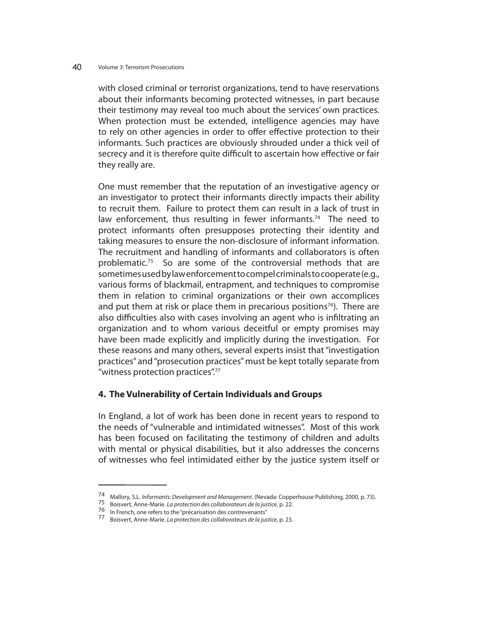with closed criminal or terrorist organizations, tend to have reservations about their informants becoming protected witnesses, in part because their testimony may reveal too much about the services' own practices. When protection must be extended, intelligence agencies may have to rely on other agencies in order to offer effective protection to their informants. Such practices are obviously shrouded under a thick veil of secrecy and it is therefore quite difficult to ascertain how effective or fair they really are.

One must remember that the reputation of an investigative agency or an investigator to protect their informants directly impacts their ability to recruit them. Failure to protect them can result in a lack of trust in law enforcement, thus resulting in fewer informants.<sup>74</sup> The need to protect informants often presupposes protecting their identity and taking measures to ensure the non-disclosure of informant information. The recruitment and handling of informants and collaborators is often problematic.<sup>75</sup> So are some of the controversial methods that are sometimes used by law enforcement to compel criminals to cooperate (e.g., various forms of blackmail, entrapment, and techniques to compromise them in relation to criminal organizations or their own accomplices and put them at risk or place them in precarious positions<sup>76</sup>). There are also difficulties also with cases involving an agent who is infiltrating an organization and to whom various deceitful or empty promises may have been made explicitly and implicitly during the investigation. For these reasons and many others, several experts insist that "investigation practices" and "prosecution practices" must be kept totally separate from "witness protection practices".77

## **4. The Vulnerability of Certain Individuals and Groups**

In England, a lot of work has been done in recent years to respond to the needs of "vulnerable and intimidated witnesses". Most of this work has been focused on facilitating the testimony of children and adults with mental or physical disabilities, but it also addresses the concerns of witnesses who feel intimidated either by the justice system itself or

<sup>74</sup> Mallory, S.L. *Informants: Development and Management*. (Nevada: Copperhouse Publishing, 2000, p. 73).<br>75 Boisvert, Anne-Marie. *La protection des collaborateurs de la justice*, p. 22.<br>76 In French, one refers to the "p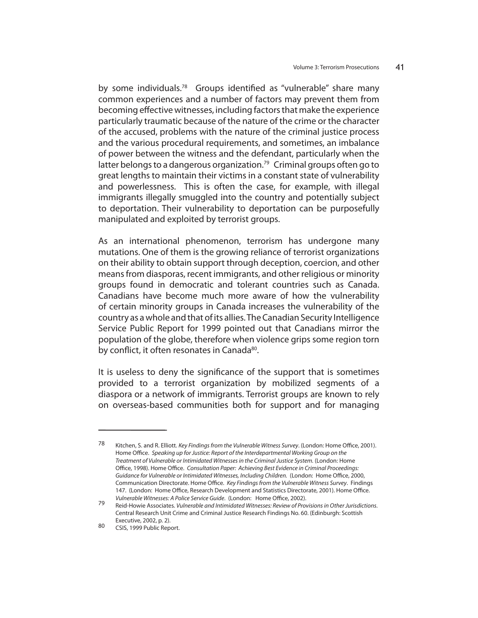by some individuals.<sup>78</sup> Groups identified as "vulnerable" share many common experiences and a number of factors may prevent them from becoming effective witnesses, including factors that make the experience particularly traumatic because of the nature of the crime or the character of the accused, problems with the nature of the criminal justice process and the various procedural requirements, and sometimes, an imbalance of power between the witness and the defendant, particularly when the latter belongs to a dangerous organization.<sup>79</sup> Criminal groups often go to great lengths to maintain their victims in a constant state of vulnerability and powerlessness. This is often the case, for example, with illegal immigrants illegally smuggled into the country and potentially subject to deportation. Their vulnerability to deportation can be purposefully manipulated and exploited by terrorist groups.

As an international phenomenon, terrorism has undergone many mutations. One of them is the growing reliance of terrorist organizations on their ability to obtain support through deception, coercion, and other means from diasporas, recent immigrants, and other religious or minority groups found in democratic and tolerant countries such as Canada. Canadians have become much more aware of how the vulnerability of certain minority groups in Canada increases the vulnerability of the country as a whole and that of its allies. The Canadian Security Intelligence Service Public Report for 1999 pointed out that Canadians mirror the population of the globe, therefore when violence grips some region torn by conflict, it often resonates in Canada<sup>80</sup>.

It is useless to deny the significance of the support that is sometimes provided to a terrorist organization by mobilized segments of a diaspora or a network of immigrants. Terrorist groups are known to rely on overseas-based communities both for support and for managing

<sup>78</sup> Kitchen, S. and R. Elliott. Key Findings from the Vulnerable Witness Survey. (London: Home Office, 2001). Home Office. Speaking up for Justice: Report of the Interdepartmental Working Group on the Treatment of Vulnerable or Intimidated Witnesses in the Criminal Justice System. (London: Home Office, 1998). Home Office. Consultation Paper: Achieving Best Evidence in Criminal Proceedings: Guidance for Vulnerable or Intimidated Witnesses, Including Children. (London: Home Office, 2000, Communication Directorate. Home Office. Key Findings from the Vulnerable Witness Survey. Findings 147. (London: Home Office, Research Development and Statistics Directorate, 2001). Home Office. Vulnerable Witnesses: A Police Service Guide. (London: Home Office, 2002).

<sup>79</sup> Reid-Howie Associates. Vulnerable and Intimidated Witnesses: Review of Provisions in Other Jurisdictions. Central Research Unit Crime and Criminal Justice Research Findings No. 60. (Edinburgh: Scottish Executive, 2002, p. 2).<br>80 CSIS 1000 Bublis Pers

CSIS, 1999 Public Report.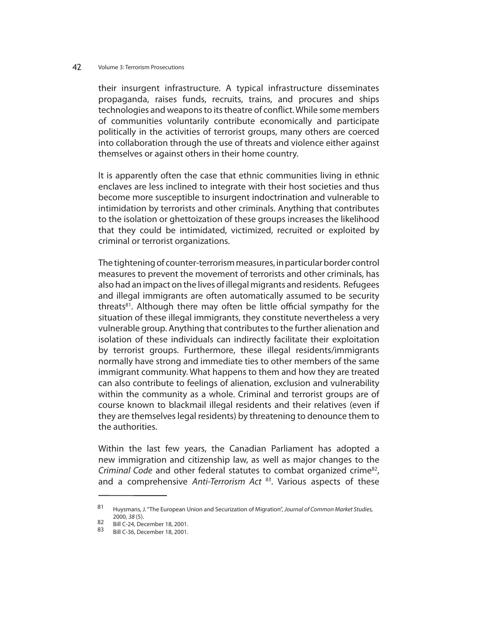their insurgent infrastructure. A typical infrastructure disseminates propaganda, raises funds, recruits, trains, and procures and ships technologies and weapons to its theatre of conflict. While some members of communities voluntarily contribute economically and participate politically in the activities of terrorist groups, many others are coerced into collaboration through the use of threats and violence either against themselves or against others in their home country.

It is apparently often the case that ethnic communities living in ethnic enclaves are less inclined to integrate with their host societies and thus become more susceptible to insurgent indoctrination and vulnerable to intimidation by terrorists and other criminals. Anything that contributes to the isolation or ghettoization of these groups increases the likelihood that they could be intimidated, victimized, recruited or exploited by criminal or terrorist organizations.

The tightening of counter-terrorism measures, in particular border control measures to prevent the movement of terrorists and other criminals, has also had an impact on the lives of illegal migrants and residents. Refugees and illegal immigrants are often automatically assumed to be security threats<sup>81</sup>. Although there may often be little official sympathy for the situation of these illegal immigrants, they constitute nevertheless a very vulnerable group. Anything that contributes to the further alienation and isolation of these individuals can indirectly facilitate their exploitation by terrorist groups. Furthermore, these illegal residents/immigrants normally have strong and immediate ties to other members of the same immigrant community. What happens to them and how they are treated can also contribute to feelings of alienation, exclusion and vulnerability within the community as a whole. Criminal and terrorist groups are of course known to blackmail illegal residents and their relatives (even if they are themselves legal residents) by threatening to denounce them to the authorities.

Within the last few years, the Canadian Parliament has adopted a new immigration and citizenship law, as well as major changes to the Criminal Code and other federal statutes to combat organized crime<sup>82</sup>, and a comprehensive Anti-Terrorism Act  $83$ . Various aspects of these

<sup>81</sup> Huysmans, J. "The European Union and Securization of Migration", Journal of Common Market Studies, 2000, 38 (5).

<sup>82</sup> Bill C-24, December 18, 2001.

 $\frac{62}{83}$  Bill C-24, December 18, 2001.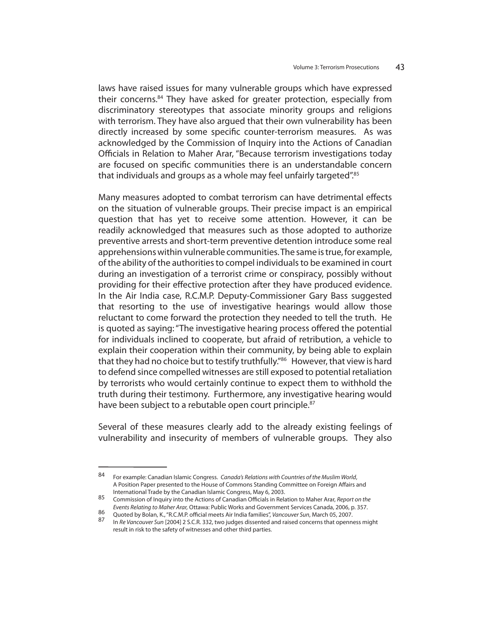laws have raised issues for many vulnerable groups which have expressed their concerns.84 They have asked for greater protection, especially from discriminatory stereotypes that associate minority groups and religions with terrorism. They have also argued that their own vulnerability has been directly increased by some specific counter-terrorism measures. As was acknowledged by the Commission of Inquiry into the Actions of Canadian Officials in Relation to Maher Arar, "Because terrorism investigations today are focused on specific communities there is an understandable concern that individuals and groups as a whole may feel unfairly targeted".<sup>85</sup>

Many measures adopted to combat terrorism can have detrimental effects on the situation of vulnerable groups. Their precise impact is an empirical question that has yet to receive some attention. However, it can be readily acknowledged that measures such as those adopted to authorize preventive arrests and short-term preventive detention introduce some real apprehensions within vulnerable communities. The same is true, for example, of the ability of the authorities to compel individuals to be examined in court during an investigation of a terrorist crime or conspiracy, possibly without providing for their effective protection after they have produced evidence. In the Air India case, R.C.M.P. Deputy-Commissioner Gary Bass suggested that resorting to the use of investigative hearings would allow those reluctant to come forward the protection they needed to tell the truth. He is quoted as saying: "The investigative hearing process offered the potential for individuals inclined to cooperate, but afraid of retribution, a vehicle to explain their cooperation within their community, by being able to explain that they had no choice but to testify truthfully."<sup>86</sup> However, that view is hard to defend since compelled witnesses are still exposed to potential retaliation by terrorists who would certainly continue to expect them to withhold the truth during their testimony. Furthermore, any investigative hearing would have been subject to a rebutable open court principle.<sup>87</sup>

Several of these measures clearly add to the already existing feelings of vulnerability and insecurity of members of vulnerable groups. They also

<sup>84</sup> For example: Canadian Islamic Congress. Canada's Relations with Countries of the Muslim World, A Position Paper presented to the House of Commons Standing Committee on Foreign Affairs and International Trade by the Canadian Islamic Congress, May 6, 2003.

<sup>85</sup> Commission of Inquiry into the Actions of Canadian Officials in Relation to Maher Arar, Report on the Events Relating to Maher Arar, Ottawa: Public Works and Government Services Canada, 2006, p. 357.<br>86 Quoted by Bolan, K., "R.C.M.P. official meets Air India families", Vancouver Sun, March 05, 2007.<br>87 Lie Bol/grosuver Sun

In Re Vancouver Sun [2004] 2 S.C.R. 332, two judges dissented and raised concerns that openness might result in risk to the safety of witnesses and other third parties.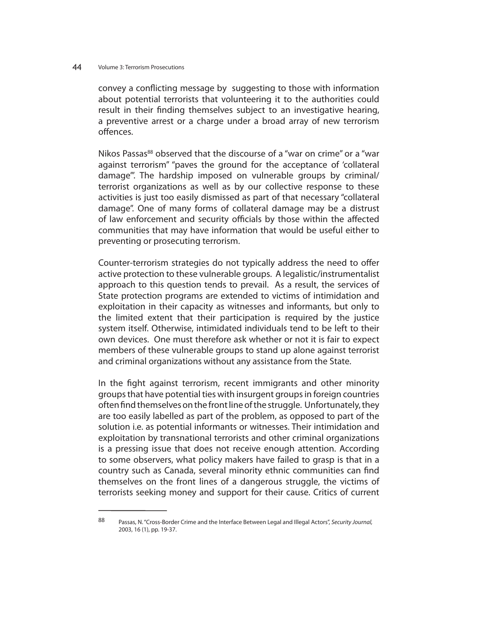convey a conflicting message by suggesting to those with information about potential terrorists that volunteering it to the authorities could result in their finding themselves subject to an investigative hearing, a preventive arrest or a charge under a broad array of new terrorism offences.

Nikos Passas<sup>88</sup> observed that the discourse of a "war on crime" or a "war against terrorism" "paves the ground for the acceptance of 'collateral damage'". The hardship imposed on vulnerable groups by criminal/ terrorist organizations as well as by our collective response to these activities is just too easily dismissed as part of that necessary "collateral damage". One of many forms of collateral damage may be a distrust of law enforcement and security officials by those within the affected communities that may have information that would be useful either to preventing or prosecuting terrorism.

Counter-terrorism strategies do not typically address the need to offer active protection to these vulnerable groups. A legalistic/instrumentalist approach to this question tends to prevail. As a result, the services of State protection programs are extended to victims of intimidation and exploitation in their capacity as witnesses and informants, but only to the limited extent that their participation is required by the justice system itself. Otherwise, intimidated individuals tend to be left to their own devices. One must therefore ask whether or not it is fair to expect members of these vulnerable groups to stand up alone against terrorist and criminal organizations without any assistance from the State.

In the fight against terrorism, recent immigrants and other minority groups that have potential ties with insurgent groups in foreign countries often find themselves on the front line of the struggle. Unfortunately, they are too easily labelled as part of the problem, as opposed to part of the solution i.e. as potential informants or witnesses. Their intimidation and exploitation by transnational terrorists and other criminal organizations is a pressing issue that does not receive enough attention. According to some observers, what policy makers have failed to grasp is that in a country such as Canada, several minority ethnic communities can find themselves on the front lines of a dangerous struggle, the victims of terrorists seeking money and support for their cause. Critics of current

<sup>88</sup> Passas, N. "Cross-Border Crime and the Interface Between Legal and Illegal Actors", Security Journal, 2003, 16 (1), pp. 19-37.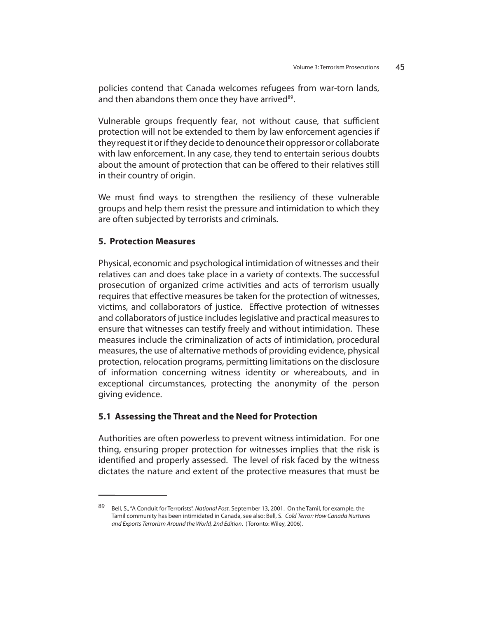policies contend that Canada welcomes refugees from war-torn lands, and then abandons them once they have arrived<sup>89</sup>.

Vulnerable groups frequently fear, not without cause, that sufficient protection will not be extended to them by law enforcement agencies if they request it or if they decide to denounce their oppressor or collaborate with law enforcement. In any case, they tend to entertain serious doubts about the amount of protection that can be offered to their relatives still in their country of origin.

We must find ways to strengthen the resiliency of these vulnerable groups and help them resist the pressure and intimidation to which they are often subjected by terrorists and criminals.

### **5. Protection Measures**

Physical, economic and psychological intimidation of witnesses and their relatives can and does take place in a variety of contexts. The successful prosecution of organized crime activities and acts of terrorism usually requires that effective measures be taken for the protection of witnesses, victims, and collaborators of justice. Effective protection of witnesses and collaborators of justice includes legislative and practical measures to ensure that witnesses can testify freely and without intimidation. These measures include the criminalization of acts of intimidation, procedural measures, the use of alternative methods of providing evidence, physical protection, relocation programs, permitting limitations on the disclosure of information concerning witness identity or whereabouts, and in exceptional circumstances, protecting the anonymity of the person giving evidence.

## **5.1 Assessing the Threat and the Need for Protection**

Authorities are often powerless to prevent witness intimidation. For one thing, ensuring proper protection for witnesses implies that the risk is identified and properly assessed. The level of risk faced by the witness dictates the nature and extent of the protective measures that must be

<sup>89</sup> Bell, S., "A Conduit for Terrorists", National Post, September 13, 2001. On the Tamil, for example, the Tamil community has been intimidated in Canada, see also: Bell, S. Cold Terror: How Canada Nurtures and Exports Terrorism Around the World, 2nd Edition. (Toronto: Wiley, 2006).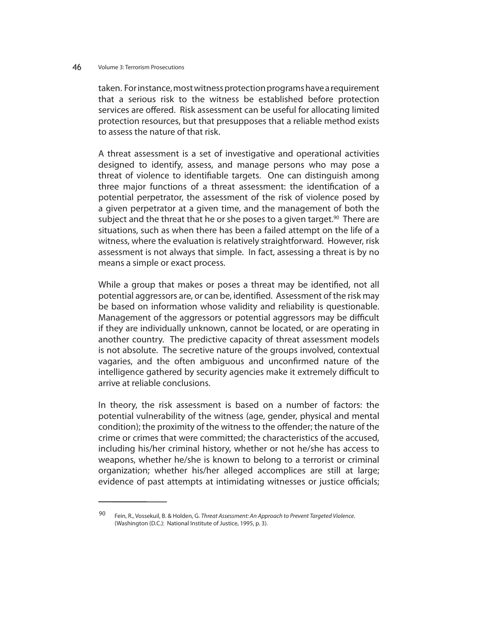taken. For instance, most witness protection programs have a requirement that a serious risk to the witness be established before protection services are offered. Risk assessment can be useful for allocating limited protection resources, but that presupposes that a reliable method exists to assess the nature of that risk.

A threat assessment is a set of investigative and operational activities designed to identify, assess, and manage persons who may pose a threat of violence to identifiable targets. One can distinguish among three major functions of a threat assessment: the identification of a potential perpetrator, the assessment of the risk of violence posed by a given perpetrator at a given time, and the management of both the subject and the threat that he or she poses to a given target.<sup>90</sup> There are situations, such as when there has been a failed attempt on the life of a witness, where the evaluation is relatively straightforward. However, risk assessment is not always that simple. In fact, assessing a threat is by no means a simple or exact process.

While a group that makes or poses a threat may be identified, not all potential aggressors are, or can be, identified. Assessment of the risk may be based on information whose validity and reliability is questionable. Management of the aggressors or potential aggressors may be difficult if they are individually unknown, cannot be located, or are operating in another country. The predictive capacity of threat assessment models is not absolute. The secretive nature of the groups involved, contextual vagaries, and the often ambiguous and unconfirmed nature of the intelligence gathered by security agencies make it extremely difficult to arrive at reliable conclusions.

In theory, the risk assessment is based on a number of factors: the potential vulnerability of the witness (age, gender, physical and mental condition); the proximity of the witness to the offender; the nature of the crime or crimes that were committed; the characteristics of the accused, including his/her criminal history, whether or not he/she has access to weapons, whether he/she is known to belong to a terrorist or criminal organization; whether his/her alleged accomplices are still at large; evidence of past attempts at intimidating witnesses or justice officials;

<sup>90</sup> Fein, R., Vossekuil, B. & Holden, G. Threat Assessment: An Approach to Prevent Targeted Violence. (Washington (D.C.): National Institute of Justice, 1995, p. 3).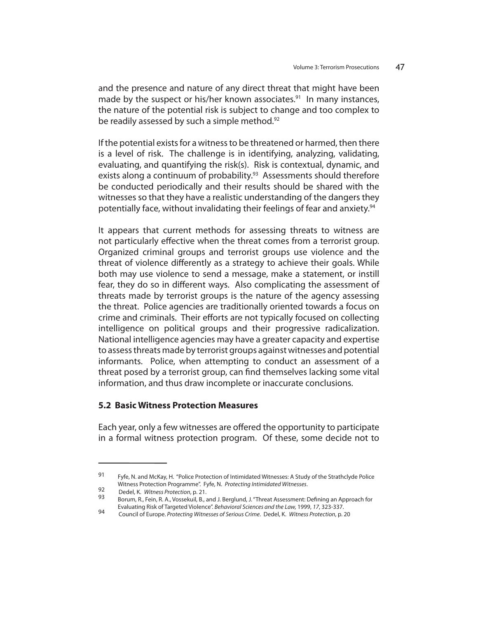and the presence and nature of any direct threat that might have been made by the suspect or his/her known associates.<sup>91</sup> In many instances, the nature of the potential risk is subject to change and too complex to be readily assessed by such a simple method.<sup>92</sup>

If the potential exists for a witness to be threatened or harmed, then there is a level of risk. The challenge is in identifying, analyzing, validating, evaluating, and quantifying the risk(s). Risk is contextual, dynamic, and exists along a continuum of probability.<sup>93</sup> Assessments should therefore be conducted periodically and their results should be shared with the witnesses so that they have a realistic understanding of the dangers they potentially face, without invalidating their feelings of fear and anxiety.<sup>94</sup>

It appears that current methods for assessing threats to witness are not particularly effective when the threat comes from a terrorist group. Organized criminal groups and terrorist groups use violence and the threat of violence differently as a strategy to achieve their goals. While both may use violence to send a message, make a statement, or instill fear, they do so in different ways. Also complicating the assessment of threats made by terrorist groups is the nature of the agency assessing the threat. Police agencies are traditionally oriented towards a focus on crime and criminals. Their efforts are not typically focused on collecting intelligence on political groups and their progressive radicalization. National intelligence agencies may have a greater capacity and expertise to assess threats made by terrorist groups against witnesses and potential informants. Police, when attempting to conduct an assessment of a threat posed by a terrorist group, can find themselves lacking some vital information, and thus draw incomplete or inaccurate conclusions.

## **5.2 Basic Witness Protection Measures**

Each year, only a few witnesses are offered the opportunity to participate in a formal witness protection program. Of these, some decide not to

<sup>91</sup> Fyfe, N. and McKay, H. "Police Protection of Intimidated Witnesses: A Study of the Strathclyde Police Witness Protection Programme". Fyfe, N. Protecting Intimidated Witnesses.<br>92 Dedel, K. Witness Protection, p. 21.<br>93 Borum, R., Fein, R. A., Vossekuil, B., and J. Berglund, J. "Threat Assessment: Defining an Approach for

Evaluating Risk of Targeted Violence". Behavioral Sciences and the Law, 1999, 17, 323-337.

Council of Europe. Protecting Witnesses of Serious Crime. Dedel, K. Witness Protection, p. 20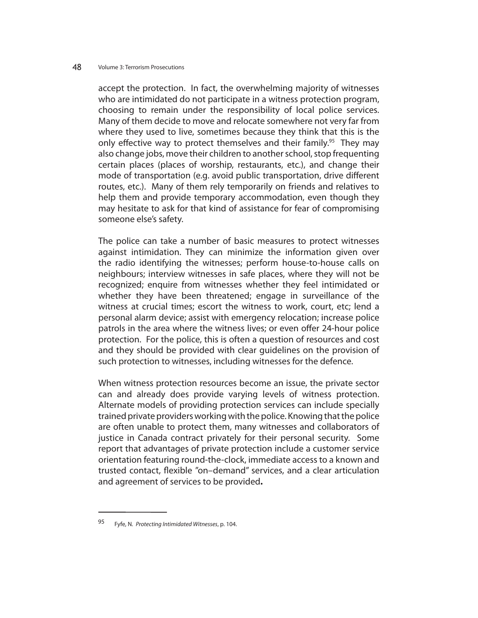accept the protection. In fact, the overwhelming majority of witnesses who are intimidated do not participate in a witness protection program, choosing to remain under the responsibility of local police services. Many of them decide to move and relocate somewhere not very far from where they used to live, sometimes because they think that this is the only effective way to protect themselves and their family.<sup>95</sup> They may also change jobs, move their children to another school, stop frequenting certain places (places of worship, restaurants, etc.), and change their mode of transportation (e.g. avoid public transportation, drive different routes, etc.). Many of them rely temporarily on friends and relatives to help them and provide temporary accommodation, even though they may hesitate to ask for that kind of assistance for fear of compromising someone else's safety.

The police can take a number of basic measures to protect witnesses against intimidation. They can minimize the information given over the radio identifying the witnesses; perform house-to-house calls on neighbours; interview witnesses in safe places, where they will not be recognized; enquire from witnesses whether they feel intimidated or whether they have been threatened; engage in surveillance of the witness at crucial times; escort the witness to work, court, etc; lend a personal alarm device; assist with emergency relocation; increase police patrols in the area where the witness lives; or even offer 24-hour police protection. For the police, this is often a question of resources and cost and they should be provided with clear guidelines on the provision of such protection to witnesses, including witnesses for the defence.

When witness protection resources become an issue, the private sector can and already does provide varying levels of witness protection. Alternate models of providing protection services can include specially trained private providers working with the police. Knowing that the police are often unable to protect them, many witnesses and collaborators of justice in Canada contract privately for their personal security. Some report that advantages of private protection include a customer service orientation featuring round-the-clock, immediate access to a known and trusted contact, flexible "on-demand" services, and a clear articulation and agreement of services to be provided**.** 

<sup>95</sup> Fyfe, N. Protecting Intimidated Witnesses, p. 104.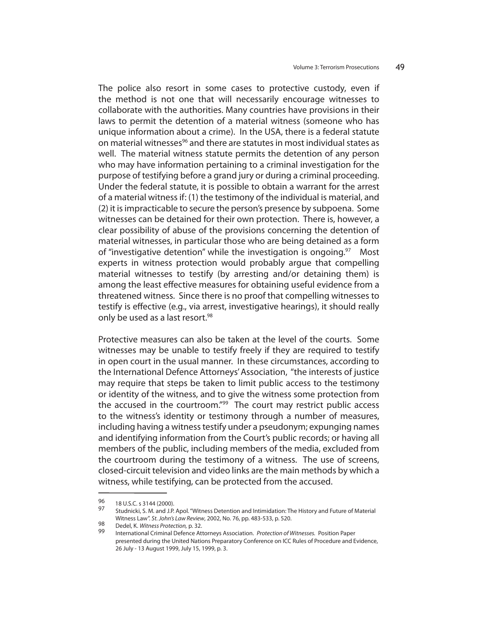The police also resort in some cases to protective custody, even if the method is not one that will necessarily encourage witnesses to collaborate with the authorities. Many countries have provisions in their laws to permit the detention of a material witness (someone who has unique information about a crime). In the USA, there is a federal statute on material witnesses<sup>96</sup> and there are statutes in most individual states as well. The material witness statute permits the detention of any person who may have information pertaining to a criminal investigation for the purpose of testifying before a grand jury or during a criminal proceeding. Under the federal statute, it is possible to obtain a warrant for the arrest of a material witness if: (1) the testimony of the individual is material, and (2) it is impracticable to secure the person's presence by subpoena. Some witnesses can be detained for their own protection. There is, however, a clear possibility of abuse of the provisions concerning the detention of material witnesses, in particular those who are being detained as a form of "investigative detention" while the investigation is ongoing.<sup>97</sup> Most experts in witness protection would probably argue that compelling material witnesses to testify (by arresting and/or detaining them) is among the least effective measures for obtaining useful evidence from a threatened witness. Since there is no proof that compelling witnesses to testify is effective (e.g., via arrest, investigative hearings), it should really only be used as a last resort.<sup>98</sup>

Protective measures can also be taken at the level of the courts. Some witnesses may be unable to testify freely if they are required to testify in open court in the usual manner. In these circumstances, according to the International Defence Attorneys' Association, "the interests of justice may require that steps be taken to limit public access to the testimony or identity of the witness, and to give the witness some protection from the accused in the courtroom.<sup>"99</sup> The court may restrict public access to the witness's identity or testimony through a number of measures, including having a witness testify under a pseudonym; expunging names and identifying information from the Court's public records; or having all members of the public, including members of the media, excluded from the courtroom during the testimony of a witness. The use of screens, closed-circuit television and video links are the main methods by which a witness, while testifying, can be protected from the accused.

<sup>96 18</sup> U.S.C. s 3144 (2000).

<sup>97</sup> Studnicki, S. M. and J.P. Apol. "Witness Detention and Intimidation: The History and Future of Material Witness Law". St. John's Law Review, 2002, No. 76, pp. 483-533, p. 520.<br>98 Dedel, K. *Witness Protection*, p. 32.<br>99 International Criminal Defence Attorneys Association. *Protection of Witnesses*. Position Paper

presented during the United Nations Preparatory Conference on ICC Rules of Procedure and Evidence, 26 July - 13 August 1999, July 15, 1999, p. 3.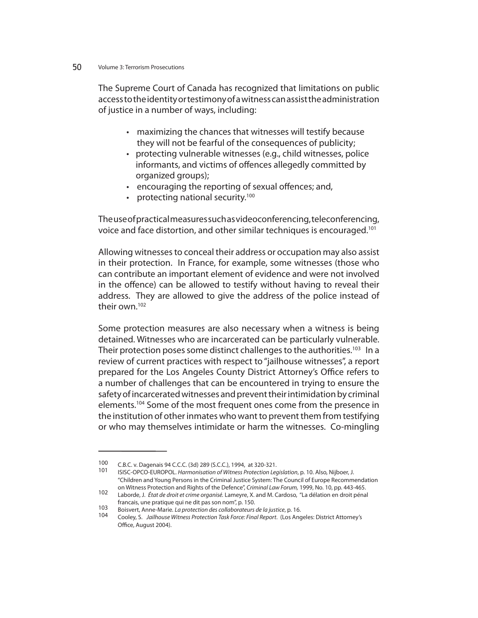The Supreme Court of Canada has recognized that limitations on public access to the identity or testimony of a witness can assist the administration of justice in a number of ways, including:

- maximizing the chances that witnesses will testify because they will not be fearful of the consequences of publicity;
- protecting vulnerable witnesses (e.g., child witnesses, police informants, and victims of offences allegedly committed by organized groups);
- encouraging the reporting of sexual offences; and,
- protecting national security.<sup>100</sup>

The use of practical measures such as videoconferencing, teleconferencing, voice and face distortion, and other similar techniques is encouraged.101

Allowing witnesses to conceal their address or occupation may also assist in their protection. In France, for example, some witnesses (those who can contribute an important element of evidence and were not involved in the offence) can be allowed to testify without having to reveal their address. They are allowed to give the address of the police instead of their own.102

Some protection measures are also necessary when a witness is being detained. Witnesses who are incarcerated can be particularly vulnerable. Their protection poses some distinct challenges to the authorities.<sup>103</sup> In a review of current practices with respect to "jailhouse witnesses", a report prepared for the Los Angeles County District Attorney's Office refers to a number of challenges that can be encountered in trying to ensure the safety of incarcerated witnesses and prevent their intimidation by criminal elements.<sup>104</sup> Some of the most frequent ones come from the presence in the institution of other inmates who want to prevent them from testifying or who may themselves intimidate or harm the witnesses. Co-mingling

<sup>100</sup> C.B.C. v. Dagenais 94 C.C.C. (3d) 289 (S.C.C.), 1994, at 320-321.<br>101 ISISC-OPCO-EUROPOL. Harmonisation of Witness Protection Legislation, p. 10. Also, Nijboer, J. "Children and Young Persons in the Criminal Justice System: The Council of Europe Recommendation

on Witness Protection and Rights of the Defence", Criminal Law Forum, 1999, No. 10, pp. 443-465.<br>102 Laborde, J. État de droit et crime organisé. Lameyre, X. and M. Cardoso, "La délation en droit pénal francais, une pratique qui ne dit pas son nom", p. 150.<br>103 Deireart Arme Marie Jacquete tier de callebratique

<sup>103</sup> Boisvert, Anne-Marie. La protection des collaborateurs de la justice, p. 16.<br>104 Cooley, S. Jailhouse Witness Protection Task Force: Final Report. (Los Angeles: District Attorney's Office, August 2004).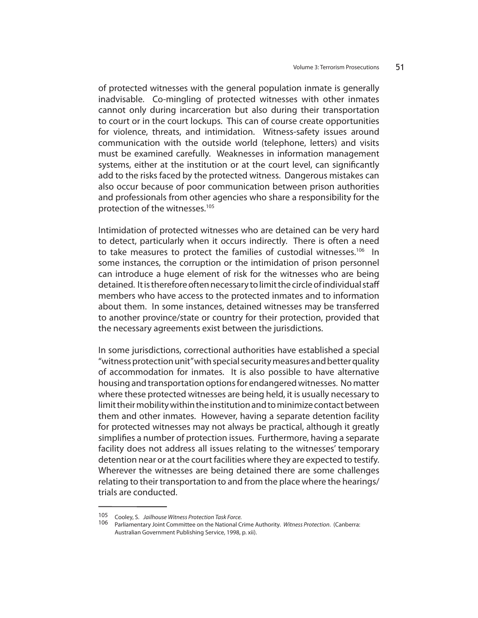of protected witnesses with the general population inmate is generally inadvisable. Co-mingling of protected witnesses with other inmates cannot only during incarceration but also during their transportation to court or in the court lockups. This can of course create opportunities for violence, threats, and intimidation. Witness-safety issues around communication with the outside world (telephone, letters) and visits must be examined carefully. Weaknesses in information management systems, either at the institution or at the court level, can significantly add to the risks faced by the protected witness. Dangerous mistakes can also occur because of poor communication between prison authorities and professionals from other agencies who share a responsibility for the protection of the witnesses.105

Intimidation of protected witnesses who are detained can be very hard to detect, particularly when it occurs indirectly. There is often a need to take measures to protect the families of custodial witnesses.<sup>106</sup> In some instances, the corruption or the intimidation of prison personnel can introduce a huge element of risk for the witnesses who are being detained. It is therefore often necessary to limit the circle of individual staff members who have access to the protected inmates and to information about them. In some instances, detained witnesses may be transferred to another province/state or country for their protection, provided that the necessary agreements exist between the jurisdictions.

In some jurisdictions, correctional authorities have established a special "witness protection unit" with special security measures and better quality of accommodation for inmates. It is also possible to have alternative housing and transportation options for endangered witnesses. No matter where these protected witnesses are being held, it is usually necessary to limit their mobility within the institution and to minimize contact between them and other inmates. However, having a separate detention facility for protected witnesses may not always be practical, although it greatly simplifies a number of protection issues. Furthermore, having a separate facility does not address all issues relating to the witnesses' temporary detention near or at the court facilities where they are expected to testify. Wherever the witnesses are being detained there are some challenges relating to their transportation to and from the place where the hearings/ trials are conducted.

<sup>105</sup> Cooley, S. Jailhouse Witness Protection Task Force.<br>106 Desligated the Light Committee on the National Co

Parliamentary Joint Committee on the National Crime Authority. Witness Protection. (Canberra: Australian Government Publishing Service, 1998, p. xii).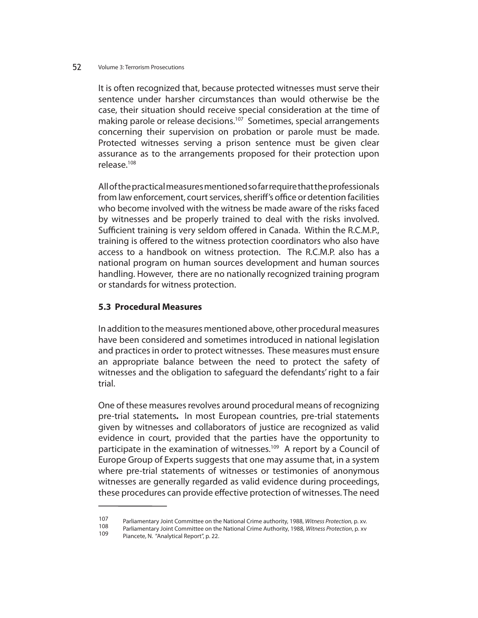It is often recognized that, because protected witnesses must serve their sentence under harsher circumstances than would otherwise be the case, their situation should receive special consideration at the time of making parole or release decisions.<sup>107</sup> Sometimes, special arrangements concerning their supervision on probation or parole must be made. Protected witnesses serving a prison sentence must be given clear assurance as to the arrangements proposed for their protection upon release.108

All of the practical measures mentioned so far require that the professionals from law enforcement, court services, sheriff's office or detention facilities who become involved with the witness be made aware of the risks faced by witnesses and be properly trained to deal with the risks involved. Sufficient training is very seldom offered in Canada. Within the R.C.M.P., training is offered to the witness protection coordinators who also have access to a handbook on witness protection. The R.C.M.P. also has a national program on human sources development and human sources handling. However, there are no nationally recognized training program or standards for witness protection.

# **5.3 Procedural Measures**

In addition to the measures mentioned above, other procedural measures have been considered and sometimes introduced in national legislation and practices in order to protect witnesses. These measures must ensure an appropriate balance between the need to protect the safety of witnesses and the obligation to safeguard the defendants' right to a fair trial.

One of these measures revolves around procedural means of recognizing pre-trial statements*.* In most European countries, pre-trial statements given by witnesses and collaborators of justice are recognized as valid evidence in court, provided that the parties have the opportunity to participate in the examination of witnesses.<sup>109</sup> A report by a Council of Europe Group of Experts suggests that one may assume that, in a system where pre-trial statements of witnesses or testimonies of anonymous witnesses are generally regarded as valid evidence during proceedings, these procedures can provide effective protection of witnesses. The need

<sup>107</sup> Parliamentary Joint Committee on the National Crime authority, 1988, Witness Protection, p. xv.<br>108 Parliamentary Joint Committee on the National Crime Authority, 1988, Witness Protection, p. xv<br>109 Piancete, N. "Analy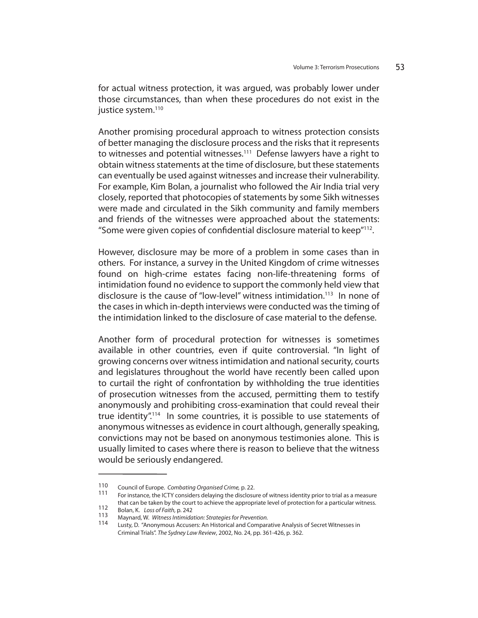for actual witness protection, it was argued, was probably lower under those circumstances, than when these procedures do not exist in the justice system.<sup>110</sup>

Another promising procedural approach to witness protection consists of better managing the disclosure process and the risks that it represents to witnesses and potential witnesses.<sup>111</sup> Defense lawyers have a right to obtain witness statements at the time of disclosure, but these statements can eventually be used against witnesses and increase their vulnerability. For example, Kim Bolan, a journalist who followed the Air India trial very closely, reported that photocopies of statements by some Sikh witnesses were made and circulated in the Sikh community and family members and friends of the witnesses were approached about the statements: "Some were given copies of confidential disclosure material to keep"<sup>112</sup>.

However, disclosure may be more of a problem in some cases than in others. For instance, a survey in the United Kingdom of crime witnesses found on high-crime estates facing non-life-threatening forms of intimidation found no evidence to support the commonly held view that disclosure is the cause of "low-level" witness intimidation.<sup>113</sup> In none of the cases in which in-depth interviews were conducted was the timing of the intimidation linked to the disclosure of case material to the defense.

Another form of procedural protection for witnesses is sometimes available in other countries, even if quite controversial. "In light of growing concerns over witness intimidation and national security, courts and legislatures throughout the world have recently been called upon to curtail the right of confrontation by withholding the true identities of prosecution witnesses from the accused, permitting them to testify anonymously and prohibiting cross-examination that could reveal their true identity".114 In some countries, it is possible to use statements of anonymous witnesses as evidence in court although, generally speaking, convictions may not be based on anonymous testimonies alone. This is usually limited to cases where there is reason to believe that the witness would be seriously endangered.

<sup>110</sup> Council of Europe. Combating Organised Crime, p. 22.<br>111 For instance the ICTV considers delaying the disclosure

<sup>111</sup> For instance, the ICTY considers delaying the disclosure of witness identity prior to trial as a measure

that can be taken by the court to achieve the appropriate level of protection for a particular witness.<br>112

<sup>112</sup> Bolan, K. Loss of Faith, p. 242<br>113 Maynard, W. *Witness Intimidation: Strategies for Prevention.*<br>114 Lusty, D. "Anonymous Accusers: An Historical and Comparative Analysis of Secret Witnesses in Criminal Trials". The Sydney Law Review, 2002, No. 24, pp. 361-426, p. 362.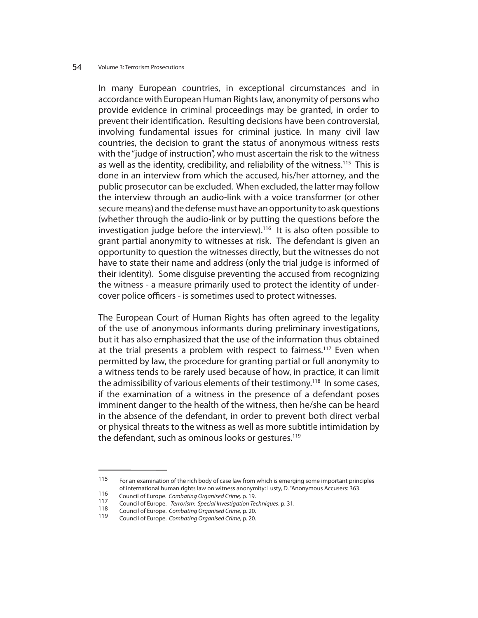In many European countries, in exceptional circumstances and in accordance with European Human Rights law, anonymity of persons who provide evidence in criminal proceedings may be granted, in order to prevent their identification. Resulting decisions have been controversial, involving fundamental issues for criminal justice. In many civil law countries, the decision to grant the status of anonymous witness rests with the "judge of instruction", who must ascertain the risk to the witness as well as the identity, credibility, and reliability of the witness.<sup>115</sup> This is done in an interview from which the accused, his/her attorney, and the public prosecutor can be excluded. When excluded, the latter may follow the interview through an audio-link with a voice transformer (or other secure means) and the defense must have an opportunity to ask questions (whether through the audio-link or by putting the questions before the investigation judge before the interview).116 It is also often possible to grant partial anonymity to witnesses at risk. The defendant is given an opportunity to question the witnesses directly, but the witnesses do not have to state their name and address (only the trial judge is informed of their identity). Some disguise preventing the accused from recognizing the witness - a measure primarily used to protect the identity of undercover police officers - is sometimes used to protect witnesses.

The European Court of Human Rights has often agreed to the legality of the use of anonymous informants during preliminary investigations, but it has also emphasized that the use of the information thus obtained at the trial presents a problem with respect to fairness.<sup>117</sup> Even when permitted by law, the procedure for granting partial or full anonymity to a witness tends to be rarely used because of how, in practice, it can limit the admissibility of various elements of their testimony.<sup>118</sup> In some cases, if the examination of a witness in the presence of a defendant poses imminent danger to the health of the witness, then he/she can be heard in the absence of the defendant, in order to prevent both direct verbal or physical threats to the witness as well as more subtitle intimidation by the defendant, such as ominous looks or gestures.<sup>119</sup>

<sup>115</sup> For an examination of the rich body of case law from which is emerging some important principles of international human rights law on witness anonymity: Lusty, D. "Anonymous Accusers: 363.

<sup>116</sup> Council of Europe. Combating Organised Crime, p. 19.<br>117 Council of Europe. Transition Consigl Investigation To

<sup>117</sup> Council of Europe. *Terrorism: Special Investigation Techniques.* p. 31.<br>118 Council of Europe. Combating Organised Crime, p. 20.<br>119 Council of Europe. Combating Organised Crime, p. 20.

Council of Europe. Combating Organised Crime, p. 20.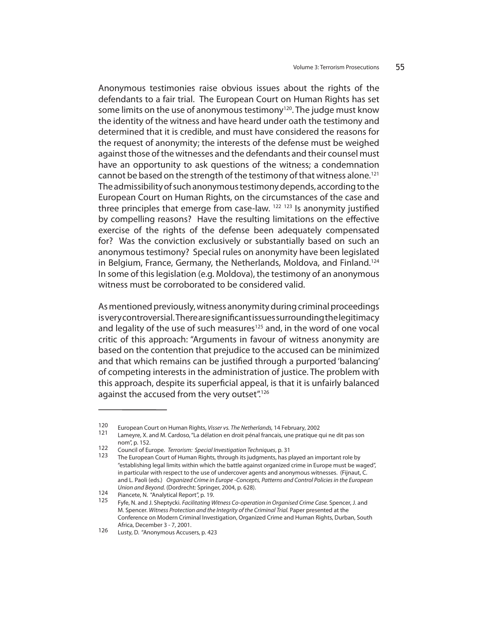Anonymous testimonies raise obvious issues about the rights of the defendants to a fair trial. The European Court on Human Rights has set some limits on the use of anonymous testimony<sup>120</sup>. The judge must know the identity of the witness and have heard under oath the testimony and determined that it is credible, and must have considered the reasons for the request of anonymity; the interests of the defense must be weighed against those of the witnesses and the defendants and their counsel must have an opportunity to ask questions of the witness; a condemnation cannot be based on the strength of the testimony of that witness alone.<sup>121</sup> The admissibility of such anonymous testimony depends, according to the European Court on Human Rights, on the circumstances of the case and three principles that emerge from case-law.  $122$   $123$  Is anonymity justified by compelling reasons? Have the resulting limitations on the effective exercise of the rights of the defense been adequately compensated for? Was the conviction exclusively or substantially based on such an anonymous testimony? Special rules on anonymity have been legislated in Belgium, France, Germany, the Netherlands, Moldova, and Finland.124 In some of this legislation (e.g. Moldova), the testimony of an anonymous witness must be corroborated to be considered valid.

As mentioned previously, witness anonymity during criminal proceedings is very controversial. There are significant issues surrounding the legitimacy and legality of the use of such measures<sup>125</sup> and, in the word of one vocal critic of this approach: "Arguments in favour of witness anonymity are based on the contention that prejudice to the accused can be minimized and that which remains can be justified through a purported 'balancing' of competing interests in the administration of justice. The problem with this approach, despite its superficial appeal, is that it is unfairly balanced against the accused from the very outset".<sup>126</sup>

<sup>120</sup> European Court on Human Rights, *Visser vs. The Netherlands*, 14 February, 2002<br>121 Lameyre, X. and M. Cardoso, "La délation en droit pénal francais, une pratique qui ne dit pas son  $nom''$ , p. 152.

<sup>&</sup>lt;sup>122</sup> Council of Europe. *Terrorism: Special Investigation Techniques*, p. 31<br><sup>123</sup> The European Court of Human Rights, through its judgments, has played an important role by "establishing legal limits within which the battle against organized crime in Europe must be waged", in particular with respect to the use of undercover agents and anonymous witnesses. (Fijnaut, C. and L. Paoli (eds.) Organized Crime in Europe -Concepts, Patterns and Control Policies in the European

Union and Beyond. (Dordrecht: Springer, 2004, p. 628).<br>124 Piancete, N. "Analytical Report", p. 19.<br>125 Fyfe, N. and J. Sheptycki. Facilitating Witness Co-operation in Organised Crime Case. Spencer, J. and M. Spencer. Witness Protection and the Integrity of the Criminal Trial. Paper presented at the Conference on Modern Criminal Investigation, Organized Crime and Human Rights, Durban, South Africa, December 3 - 7, 2001.<br>126 - Justic D. "Angruppeus Agrup

Lusty, D. "Anonymous Accusers, p. 423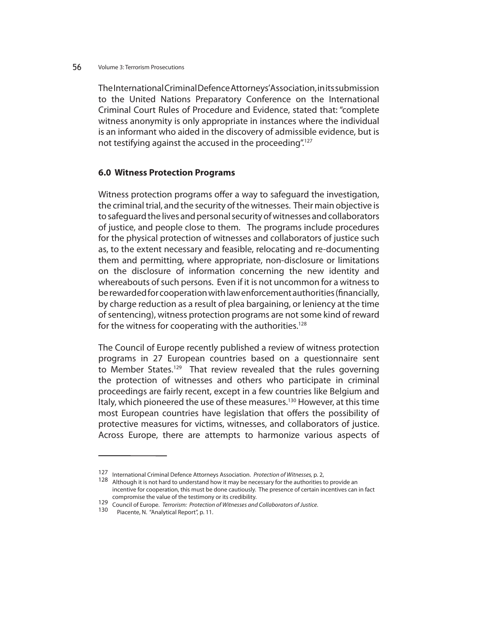The International Criminal Defence Attorneys' Association, in its submission to the United Nations Preparatory Conference on the International Criminal Court Rules of Procedure and Evidence, stated that: "complete witness anonymity is only appropriate in instances where the individual is an informant who aided in the discovery of admissible evidence, but is not testifying against the accused in the proceeding".127

### **6.0 Witness Protection Programs**

Witness protection programs offer a way to safeguard the investigation, the criminal trial, and the security of the witnesses. Their main objective is to safeguard the lives and personal security of witnesses and collaborators of justice, and people close to them. The programs include procedures for the physical protection of witnesses and collaborators of justice such as, to the extent necessary and feasible, relocating and re-documenting them and permitting, where appropriate, non-disclosure or limitations on the disclosure of information concerning the new identity and whereabouts of such persons. Even if it is not uncommon for a witness to be rewarded for cooperation with law enforcement authorities (financially, by charge reduction as a result of plea bargaining, or leniency at the time of sentencing), witness protection programs are not some kind of reward for the witness for cooperating with the authorities.<sup>128</sup>

The Council of Europe recently published a review of witness protection programs in 27 European countries based on a questionnaire sent to Member States.<sup>129</sup> That review revealed that the rules governing the protection of witnesses and others who participate in criminal proceedings are fairly recent, except in a few countries like Belgium and Italy, which pioneered the use of these measures.<sup>130</sup> However, at this time most European countries have legislation that offers the possibility of protective measures for victims, witnesses, and collaborators of justice. Across Europe, there are attempts to harmonize various aspects of

<sup>127</sup> International Criminal Defence Attorneys Association. *Protection of Witnesses*, p. 2, 128 Although it is not hard to understand how it may be necessary for the authorities to provide an incentive for cooperation, this must be done cautiously. The presence of certain incentives can in fact compromise the value of the testimony or its credibility.

<sup>129</sup> Council of Europe. Terrorism: Protection of Witnesses and Collaborators of Justice.<br>130 Piacente, N. "Analytical Report", p. 11.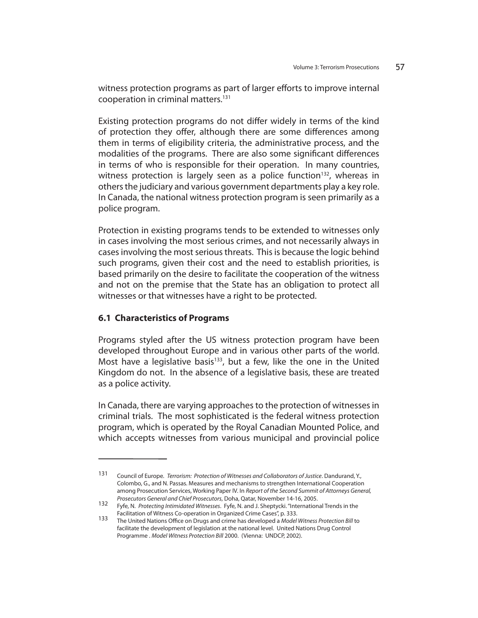witness protection programs as part of larger efforts to improve internal cooperation in criminal matters.131

Existing protection programs do not differ widely in terms of the kind of protection they offer, although there are some differences among them in terms of eligibility criteria, the administrative process, and the modalities of the programs. There are also some significant differences in terms of who is responsible for their operation. In many countries, witness protection is largely seen as a police function<sup>132</sup>, whereas in others the judiciary and various government departments play a key role. In Canada, the national witness protection program is seen primarily as a police program.

Protection in existing programs tends to be extended to witnesses only in cases involving the most serious crimes, and not necessarily always in cases involving the most serious threats. This is because the logic behind such programs, given their cost and the need to establish priorities, is based primarily on the desire to facilitate the cooperation of the witness and not on the premise that the State has an obligation to protect all witnesses or that witnesses have a right to be protected.

# **6.1 Characteristics of Programs**

Programs styled after the US witness protection program have been developed throughout Europe and in various other parts of the world. Most have a legislative basis<sup>133</sup>, but a few, like the one in the United Kingdom do not. In the absence of a legislative basis, these are treated as a police activity.

In Canada, there are varying approaches to the protection of witnesses in criminal trials. The most sophisticated is the federal witness protection program, which is operated by the Royal Canadian Mounted Police, and which accepts witnesses from various municipal and provincial police

<sup>131</sup> Council of Europe. Terrorism: Protection of Witnesses and Collaborators of Justice. Dandurand, Y., Colombo, G., and N. Passas. Measures and mechanisms to strengthen International Cooperation among Prosecution Services, Working Paper IV. In Report of the Second Summit of Attorneys General, Prosecutors General and Chief Prosecutors, Doha, Qatar, November 14-16, 2005.

<sup>132</sup> Fyfe, N. Protecting Intimidated Witnesses. Fyfe, N. and J. Sheptycki. "International Trends in the Facilitation of Witness Co-operation in Organized Crime Cases", p. 333.

<sup>133</sup> The United Nations Office on Drugs and crime has developed a Model Witness Protection Bill to facilitate the development of legislation at the national level. United Nations Drug Control Programme . Model Witness Protection Bill 2000. (Vienna: UNDCP, 2002).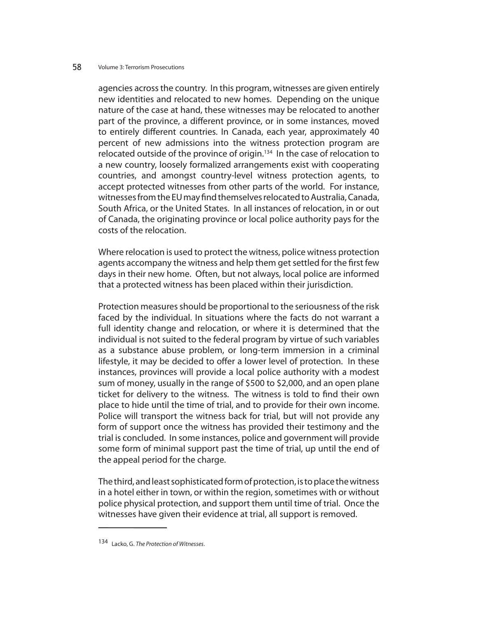agencies across the country. In this program, witnesses are given entirely new identities and relocated to new homes. Depending on the unique nature of the case at hand, these witnesses may be relocated to another part of the province, a different province, or in some instances, moved to entirely different countries. In Canada, each year, approximately 40 percent of new admissions into the witness protection program are relocated outside of the province of origin.<sup>134</sup> In the case of relocation to a new country, loosely formalized arrangements exist with cooperating countries, and amongst country-level witness protection agents, to accept protected witnesses from other parts of the world. For instance, witnesses from the EU may find themselves relocated to Australia, Canada, South Africa, or the United States. In all instances of relocation, in or out of Canada, the originating province or local police authority pays for the costs of the relocation.

Where relocation is used to protect the witness, police witness protection agents accompany the witness and help them get settled for the first few days in their new home. Often, but not always, local police are informed that a protected witness has been placed within their jurisdiction.

Protection measures should be proportional to the seriousness of the risk faced by the individual. In situations where the facts do not warrant a full identity change and relocation, or where it is determined that the individual is not suited to the federal program by virtue of such variables as a substance abuse problem, or long-term immersion in a criminal lifestyle, it may be decided to offer a lower level of protection. In these instances, provinces will provide a local police authority with a modest sum of money, usually in the range of \$500 to \$2,000, and an open plane ticket for delivery to the witness. The witness is told to find their own place to hide until the time of trial, and to provide for their own income. Police will transport the witness back for trial, but will not provide any form of support once the witness has provided their testimony and the trial is concluded. In some instances, police and government will provide some form of minimal support past the time of trial, up until the end of the appeal period for the charge.

The third, and least sophisticated form of protection, is to place the witness in a hotel either in town, or within the region, sometimes with or without police physical protection, and support them until time of trial. Once the witnesses have given their evidence at trial, all support is removed.

<sup>134</sup> Lacko, G. The Protection of Witnesses.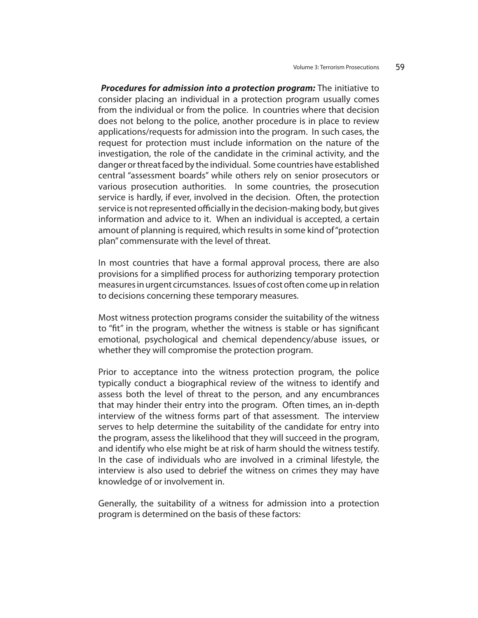*Procedures for admission into a protection program:* The initiative to consider placing an individual in a protection program usually comes from the individual or from the police. In countries where that decision does not belong to the police, another procedure is in place to review applications/requests for admission into the program. In such cases, the request for protection must include information on the nature of the investigation, the role of the candidate in the criminal activity, and the danger or threat faced by the individual. Some countries have established central "assessment boards" while others rely on senior prosecutors or various prosecution authorities. In some countries, the prosecution service is hardly, if ever, involved in the decision. Often, the protection service is not represented officially in the decision-making body, but gives information and advice to it. When an individual is accepted, a certain amount of planning is required, which results in some kind of "protection plan" commensurate with the level of threat.

In most countries that have a formal approval process, there are also provisions for a simplified process for authorizing temporary protection measures in urgent circumstances. Issues of cost often come up in relation to decisions concerning these temporary measures.

Most witness protection programs consider the suitability of the witness to "fit" in the program, whether the witness is stable or has significant emotional, psychological and chemical dependency/abuse issues, or whether they will compromise the protection program.

Prior to acceptance into the witness protection program, the police typically conduct a biographical review of the witness to identify and assess both the level of threat to the person, and any encumbrances that may hinder their entry into the program. Often times, an in-depth interview of the witness forms part of that assessment. The interview serves to help determine the suitability of the candidate for entry into the program, assess the likelihood that they will succeed in the program, and identify who else might be at risk of harm should the witness testify. In the case of individuals who are involved in a criminal lifestyle, the interview is also used to debrief the witness on crimes they may have knowledge of or involvement in.

Generally, the suitability of a witness for admission into a protection program is determined on the basis of these factors: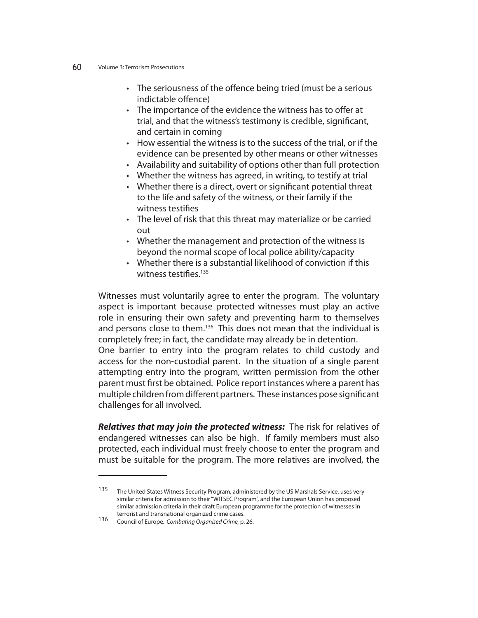- The seriousness of the offence being tried (must be a serious indictable offence)
- The importance of the evidence the witness has to offer at trial, and that the witness's testimony is credible, significant, and certain in coming
- How essential the witness is to the success of the trial, or if the evidence can be presented by other means or other witnesses
- Availability and suitability of options other than full protection
- Whether the witness has agreed, in writing, to testify at trial
- Whether there is a direct, overt or significant potential threat to the life and safety of the witness, or their family if the witness testifies
- The level of risk that this threat may materialize or be carried out
- Whether the management and protection of the witness is beyond the normal scope of local police ability/capacity
- Whether there is a substantial likelihood of conviction if this witness testifies. $135$

Witnesses must voluntarily agree to enter the program. The voluntary aspect is important because protected witnesses must play an active role in ensuring their own safety and preventing harm to themselves and persons close to them.<sup>136</sup> This does not mean that the individual is completely free; in fact, the candidate may already be in detention. One barrier to entry into the program relates to child custody and access for the non-custodial parent. In the situation of a single parent attempting entry into the program, written permission from the other

parent must first be obtained. Police report instances where a parent has multiple children from different partners. These instances pose significant challenges for all involved.

*Relatives that may join the protected witness:* The risk for relatives of endangered witnesses can also be high. If family members must also protected, each individual must freely choose to enter the program and must be suitable for the program. The more relatives are involved, the

<sup>135</sup> The United States Witness Security Program, administered by the US Marshals Service, uses very similar criteria for admission to their "WITSEC Program", and the European Union has proposed similar admission criteria in their draft European programme for the protection of witnesses in terrorist and transnational organized crime cases.

<sup>136</sup> Council of Europe. Combating Organised Crime, p. 26.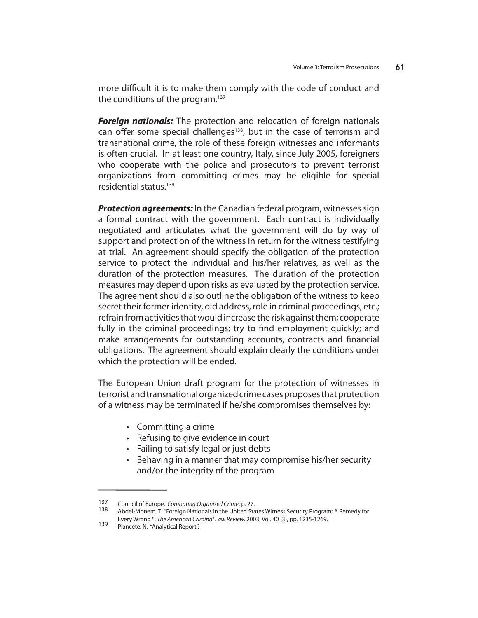more difficult it is to make them comply with the code of conduct and the conditions of the program.<sup>137</sup>

*Foreign nationals:* The protection and relocation of foreign nationals can offer some special challenges<sup>138</sup>, but in the case of terrorism and transnational crime, the role of these foreign witnesses and informants is often crucial. In at least one country, Italy, since July 2005, foreigners who cooperate with the police and prosecutors to prevent terrorist organizations from committing crimes may be eligible for special residential status.139

*Protection agreements:* In the Canadian federal program, witnesses sign a formal contract with the government. Each contract is individually negotiated and articulates what the government will do by way of support and protection of the witness in return for the witness testifying at trial. An agreement should specify the obligation of the protection service to protect the individual and his/her relatives, as well as the duration of the protection measures. The duration of the protection measures may depend upon risks as evaluated by the protection service. The agreement should also outline the obligation of the witness to keep secret their former identity, old address, role in criminal proceedings, etc.; refrain from activities that would increase the risk against them; cooperate fully in the criminal proceedings; try to find employment quickly; and make arrangements for outstanding accounts, contracts and financial obligations. The agreement should explain clearly the conditions under which the protection will be ended.

The European Union draft program for the protection of witnesses in terrorist and transnational organized crime cases proposes that protection of a witness may be terminated if he/she compromises themselves by:

- Committing a crime
- Refusing to give evidence in court
- Failing to satisfy legal or just debts
- Behaving in a manner that may compromise his/her security and/or the integrity of the program

<sup>137</sup> Council of Europe. Combating Organised Crime, p. 27.<br>138 Abdel-Monem, T. "Foreign Nationals in the United States Witness Security Program: A Remedy for

Every Wrong?", The American Criminal Law Review, 2003, Vol. 40 (3), pp. 1235-1269.<br>139 Piancete, N. "Analytical Report".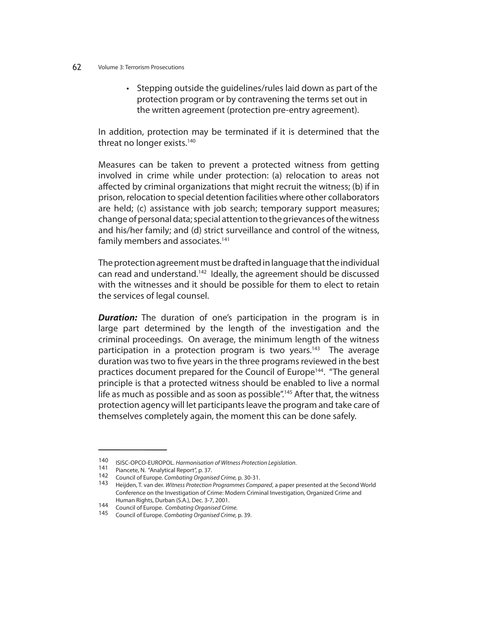• Stepping outside the guidelines/rules laid down as part of the protection program or by contravening the terms set out in the written agreement (protection pre-entry agreement).

In addition, protection may be terminated if it is determined that the threat no longer exists.<sup>140</sup>

Measures can be taken to prevent a protected witness from getting involved in crime while under protection: (a) relocation to areas not affected by criminal organizations that might recruit the witness; (b) if in prison, relocation to special detention facilities where other collaborators are held; (c) assistance with job search; temporary support measures; change of personal data; special attention to the grievances of the witness and his/her family; and (d) strict surveillance and control of the witness, family members and associates.<sup>141</sup>

The protection agreement must be drafted in language that the individual can read and understand.<sup>142</sup> Ideally, the agreement should be discussed with the witnesses and it should be possible for them to elect to retain the services of legal counsel.

**Duration:** The duration of one's participation in the program is in large part determined by the length of the investigation and the criminal proceedings. On average, the minimum length of the witness participation in a protection program is two years.<sup>143</sup> The average duration was two to five years in the three programs reviewed in the best practices document prepared for the Council of Europe<sup>144</sup>. "The general principle is that a protected witness should be enabled to live a normal life as much as possible and as soon as possible".<sup>145</sup> After that, the witness protection agency will let participants leave the program and take care of themselves completely again, the moment this can be done safely.

<sup>140</sup> ISISC-OPCO-EUROPOL. Harmonisation of Witness Protection Legislation.<br>141 Piancete, N. "Analytical Report", p. 37.<br>142 Council of Europe. Combating Organised Crime, p. 30-31.<br>143 Heijden, T. van der. Witness Protection Conference on the Investigation of Crime: Modern Criminal Investigation, Organized Crime and

Human Rights, Durban (S.A.), Dec. 3-7, 2001.<br>Council of Europe. Combating Organised Crime.

<sup>145</sup> Council of Europe. Combating Organised Crime, p. 39.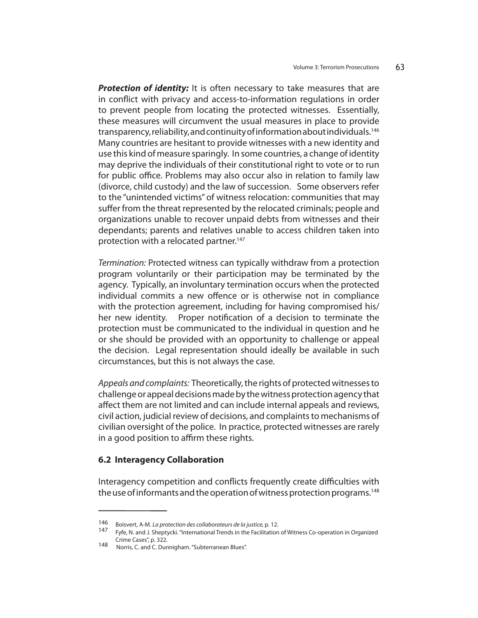**Protection of identity:** It is often necessary to take measures that are in conflict with privacy and access-to-information regulations in order to prevent people from locating the protected witnesses. Essentially, these measures will circumvent the usual measures in place to provide transparency, reliability, and continuity of information about individuals.146 Many countries are hesitant to provide witnesses with a new identity and use this kind of measure sparingly. In some countries, a change of identity may deprive the individuals of their constitutional right to vote or to run for public office. Problems may also occur also in relation to family law (divorce, child custody) and the law of succession. Some observers refer to the "unintended victims" of witness relocation: communities that may suffer from the threat represented by the relocated criminals; people and organizations unable to recover unpaid debts from witnesses and their dependants; parents and relatives unable to access children taken into protection with a relocated partner.<sup>147</sup>

Termination: Protected witness can typically withdraw from a protection program voluntarily or their participation may be terminated by the agency. Typically, an involuntary termination occurs when the protected individual commits a new offence or is otherwise not in compliance with the protection agreement, including for having compromised his/ her new identity. Proper notification of a decision to terminate the protection must be communicated to the individual in question and he or she should be provided with an opportunity to challenge or appeal the decision. Legal representation should ideally be available in such circumstances, but this is not always the case.

Appeals and complaints: Theoretically, the rights of protected witnesses to challenge or appeal decisions made by the witness protection agency that affect them are not limited and can include internal appeals and reviews, civil action, judicial review of decisions, and complaints to mechanisms of civilian oversight of the police. In practice, protected witnesses are rarely in a good position to affirm these rights.

### **6.2 Interagency Collaboration**

Interagency competition and conflicts frequently create difficulties with the use of informants and the operation of witness protection programs.<sup>148</sup>

<sup>146</sup> Boisvert, A-M. La protection des collaborateurs de la justice, p. 12.<br>147 Fyfe, N. and J. Sheptycki. "International Trends in the Facilitation of Witness Co-operation in Organized Crime Cases", p. 322.

<sup>148</sup> Norris, C. and C. Dunnigham. "Subterranean Blues".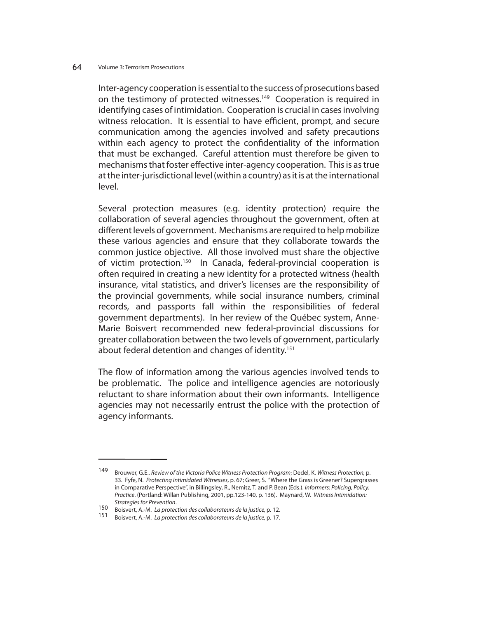Inter-agency cooperation is essential to the success of prosecutions based on the testimony of protected witnesses.<sup>149</sup> Cooperation is required in identifying cases of intimidation. Cooperation is crucial in cases involving witness relocation. It is essential to have efficient, prompt, and secure communication among the agencies involved and safety precautions within each agency to protect the confidentiality of the information that must be exchanged. Careful attention must therefore be given to mechanisms that foster effective inter-agency cooperation. This is as true at the inter-jurisdictional level (within a country) as it is at the international level.

Several protection measures (e.g. identity protection) require the collaboration of several agencies throughout the government, often at different levels of government. Mechanisms are required to help mobilize these various agencies and ensure that they collaborate towards the common justice objective. All those involved must share the objective of victim protection.<sup>150</sup> In Canada, federal-provincial cooperation is often required in creating a new identity for a protected witness (health insurance, vital statistics, and driver's licenses are the responsibility of the provincial governments, while social insurance numbers, criminal records, and passports fall within the responsibilities of federal government departments). In her review of the Québec system, Anne-Marie Boisvert recommended new federal-provincial discussions for greater collaboration between the two levels of government, particularly about federal detention and changes of identity.<sup>151</sup>

The flow of information among the various agencies involved tends to be problematic. The police and intelligence agencies are notoriously reluctant to share information about their own informants. Intelligence agencies may not necessarily entrust the police with the protection of agency informants.

<sup>149</sup> Brouwer, G.E.. Review of the Victoria Police Witness Protection Program; Dedel, K. Witness Protection, p. 33. Fyfe, N. Protecting Intimidated Witnesses, p. 67; Greer, S. "Where the Grass is Greener? Supergrasses in Comparative Perspective", in Billingsley, R., Nemitz, T. and P. Bean (Eds.). Informers: Policing, Policy, Practice. (Portland: Willan Publishing, 2001, pp.123-140, p. 136). Maynard, W. Witness Intimidation:

Strategies for Prevention.<br>150 Boisvert, A.-M. La protection des collaborateurs de la justice, p. 12.<br>151 Boisvert, A.-M. La protection des collaborateurs de la justice, p. 17.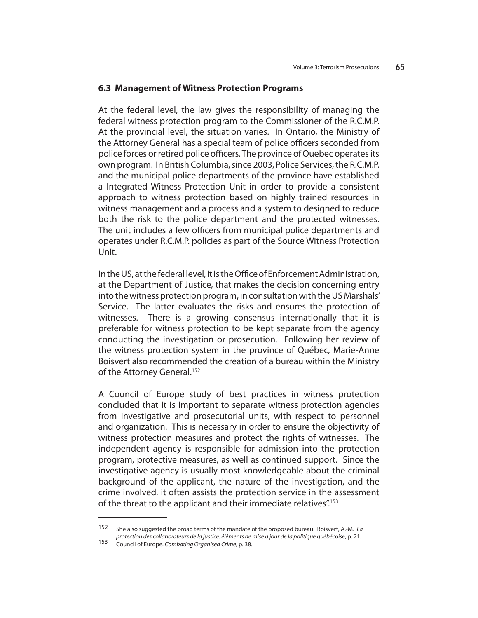### **6.3 Management of Witness Protection Programs**

At the federal level, the law gives the responsibility of managing the federal witness protection program to the Commissioner of the R.C.M.P. At the provincial level, the situation varies. In Ontario, the Ministry of the Attorney General has a special team of police officers seconded from police forces or retired police officers. The province of Quebec operates its own program. In British Columbia, since 2003, Police Services, the R.C.M.P. and the municipal police departments of the province have established a Integrated Witness Protection Unit in order to provide a consistent approach to witness protection based on highly trained resources in witness management and a process and a system to designed to reduce both the risk to the police department and the protected witnesses. The unit includes a few officers from municipal police departments and operates under R.C.M.P. policies as part of the Source Witness Protection Unit.

In the US, at the federal level, it is the Office of Enforcement Administration, at the Department of Justice, that makes the decision concerning entry into the witness protection program, in consultation with the US Marshals' Service. The latter evaluates the risks and ensures the protection of witnesses. There is a growing consensus internationally that it is preferable for witness protection to be kept separate from the agency conducting the investigation or prosecution. Following her review of the witness protection system in the province of Québec, Marie-Anne Boisvert also recommended the creation of a bureau within the Ministry of the Attorney General.<sup>152</sup>

A Council of Europe study of best practices in witness protection concluded that it is important to separate witness protection agencies from investigative and prosecutorial units, with respect to personnel and organization. This is necessary in order to ensure the objectivity of witness protection measures and protect the rights of witnesses. The independent agency is responsible for admission into the protection program, protective measures, as well as continued support. Since the investigative agency is usually most knowledgeable about the criminal background of the applicant, the nature of the investigation, and the crime involved, it often assists the protection service in the assessment of the threat to the applicant and their immediate relatives".<sup>153</sup>

<sup>152</sup> She also suggested the broad terms of the mandate of the proposed bureau. Boisvert, A.-M. La protection des collaborateurs de la justice: éléments de mise à jour de la politique québécoise, p. 21.<br><sup>153</sup> Council of Europe. Combating Organised Crime, p. 38.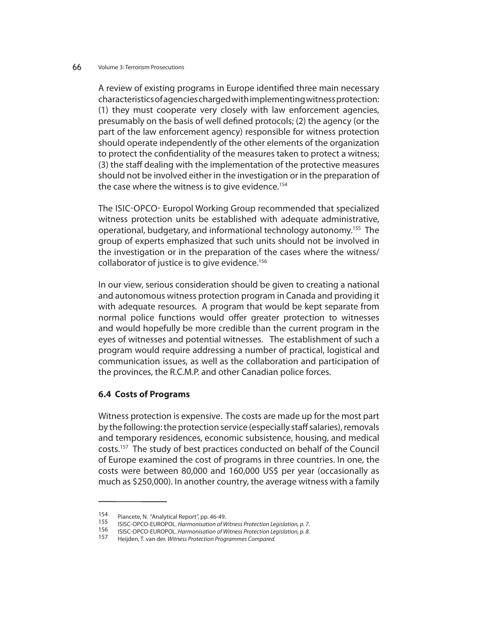A review of existing programs in Europe identified three main necessary characteristics of agencies charged with implementing witness protection: (1) they must cooperate very closely with law enforcement agencies, presumably on the basis of well defined protocols; (2) the agency (or the part of the law enforcement agency) responsible for witness protection should operate independently of the other elements of the organization to protect the confidentiality of the measures taken to protect a witness; (3) the staff dealing with the implementation of the protective measures should not be involved either in the investigation or in the preparation of the case where the witness is to give evidence.<sup>154</sup>

The ISIC-OPCO- Europol Working Group recommended that specialized witness protection units be established with adequate administrative, operational, budgetary, and informational technology autonomy.155 The group of experts emphasized that such units should not be involved in the investigation or in the preparation of the cases where the witness/ collaborator of justice is to give evidence.<sup>156</sup>

In our view, serious consideration should be given to creating a national and autonomous witness protection program in Canada and providing it with adequate resources. A program that would be kept separate from normal police functions would offer greater protection to witnesses and would hopefully be more credible than the current program in the eyes of witnesses and potential witnesses. The establishment of such a program would require addressing a number of practical, logistical and communication issues, as well as the collaboration and participation of the provinces, the R.C.M.P. and other Canadian police forces.

## **6.4 Costs of Programs**

Witness protection is expensive. The costs are made up for the most part by the following: the protection service (especially staff salaries), removals and temporary residences, economic subsistence, housing, and medical costs.157 The study of best practices conducted on behalf of the Council of Europe examined the cost of programs in three countries. In one, the costs were between 80,000 and 160,000 US\$ per year (occasionally as much as \$250,000). In another country, the average witness with a family

<sup>154</sup> Piancete, N. "Analytical Report", pp. 46-49.<br>155 ISISC-OPCO-EUROPOL. Harmonisation of Witness Protection Legislation, p. 7.<br>156 ISISC-OPCO-EUROPOL. Harmonisation of Witness Protection Legislation, p. 8.<br>157 Heijden, T.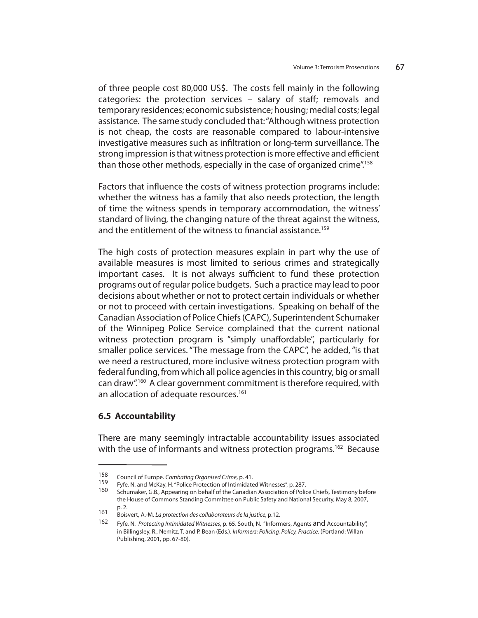of three people cost 80,000 US\$. The costs fell mainly in the following categories: the protection services  $-$  salary of staff; removals and temporary residences; economic subsistence; housing; medial costs; legal assistance. The same study concluded that: "Although witness protection is not cheap, the costs are reasonable compared to labour-intensive investigative measures such as infiltration or long-term surveillance. The strong impression is that witness protection is more effective and efficient than those other methods, especially in the case of organized crime".158

Factors that influence the costs of witness protection programs include: whether the witness has a family that also needs protection, the length of time the witness spends in temporary accommodation, the witness' standard of living, the changing nature of the threat against the witness, and the entitlement of the witness to financial assistance.<sup>159</sup>

The high costs of protection measures explain in part why the use of available measures is most limited to serious crimes and strategically important cases. It is not always sufficient to fund these protection programs out of regular police budgets. Such a practice may lead to poor decisions about whether or not to protect certain individuals or whether or not to proceed with certain investigations. Speaking on behalf of the Canadian Association of Police Chiefs (CAPC), Superintendent Schumaker of the Winnipeg Police Service complained that the current national witness protection program is "simply unaffordable", particularly for smaller police services. "The message from the CAPC", he added, "is that we need a restructured, more inclusive witness protection program with federal funding, from which all police agencies in this country, big or small can draw".160 A clear government commitment is therefore required, with an allocation of adequate resources.<sup>161</sup>

### **6.5 Accountability**

There are many seemingly intractable accountability issues associated with the use of informants and witness protection programs.<sup>162</sup> Because

<sup>158</sup> Council of Europe. Combating Organised Crime, p. 41.<br>159 Fyfe, N. and McKay, H. "Police Protection of Intimidated Witnesses", p. 287.<br>160 Schumaker, G.B., Appearing on behalf of the Canadian Association of Police Chief the House of Commons Standing Committee on Public Safety and National Security, May 8, 2007, p. 2.

<sup>161</sup> Boisvert, A.-M. La protection des collaborateurs de la justice, p.12.

<sup>162</sup> Fyfe, N. Protecting Intimidated Witnesses, p. 65. South, N. "Informers, Agents and Accountability", in Billingsley, R., Nemitz, T. and P. Bean (Eds.). Informers: Policing, Policy, Practice. (Portland: Willan Publishing, 2001, pp. 67-80).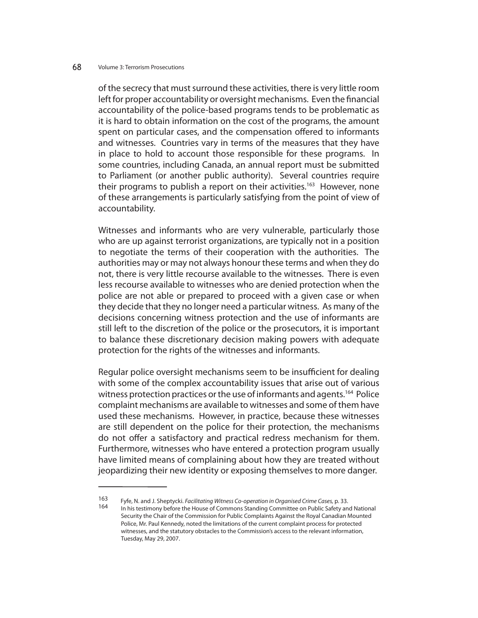of the secrecy that must surround these activities, there is very little room left for proper accountability or oversight mechanisms. Even the financial accountability of the police-based programs tends to be problematic as it is hard to obtain information on the cost of the programs, the amount spent on particular cases, and the compensation offered to informants and witnesses. Countries vary in terms of the measures that they have in place to hold to account those responsible for these programs. In some countries, including Canada, an annual report must be submitted to Parliament (or another public authority). Several countries require their programs to publish a report on their activities.<sup>163</sup> However, none of these arrangements is particularly satisfying from the point of view of accountability.

Witnesses and informants who are very vulnerable, particularly those who are up against terrorist organizations, are typically not in a position to negotiate the terms of their cooperation with the authorities. The authorities may or may not always honour these terms and when they do not, there is very little recourse available to the witnesses. There is even less recourse available to witnesses who are denied protection when the police are not able or prepared to proceed with a given case or when they decide that they no longer need a particular witness. As many of the decisions concerning witness protection and the use of informants are still left to the discretion of the police or the prosecutors, it is important to balance these discretionary decision making powers with adequate protection for the rights of the witnesses and informants.

Regular police oversight mechanisms seem to be insufficient for dealing with some of the complex accountability issues that arise out of various witness protection practices or the use of informants and agents.<sup>164</sup> Police complaint mechanisms are available to witnesses and some of them have used these mechanisms. However, in practice, because these witnesses are still dependent on the police for their protection, the mechanisms do not offer a satisfactory and practical redress mechanism for them. Furthermore, witnesses who have entered a protection program usually have limited means of complaining about how they are treated without jeopardizing their new identity or exposing themselves to more danger.

<sup>163</sup> Fyfe, N. and J. Sheptycki. *Facilitating Witness Co-operation in Organised Crime Cases*, p. 33.<br>164 In his testimony before the House of Commons Standing Committee on Public Safety and National Security the Chair of the Commission for Public Complaints Against the Royal Canadian Mounted Police, Mr. Paul Kennedy, noted the limitations of the current complaint process for protected witnesses, and the statutory obstacles to the Commission's access to the relevant information, Tuesday, May 29, 2007.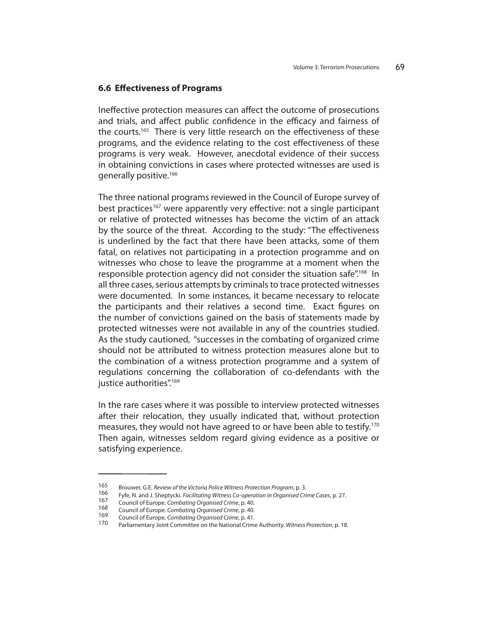### **6.6 Effectiveness of Programs**

Ineffective protection measures can affect the outcome of prosecutions and trials, and affect public confidence in the efficacy and fairness of the courts.<sup>165</sup> There is very little research on the effectiveness of these programs, and the evidence relating to the cost effectiveness of these programs is very weak. However, anecdotal evidence of their success in obtaining convictions in cases where protected witnesses are used is generally positive.166

The three national programs reviewed in the Council of Europe survey of best practices<sup>167</sup> were apparently very effective: not a single participant or relative of protected witnesses has become the victim of an attack by the source of the threat. According to the study: "The effectiveness is underlined by the fact that there have been attacks, some of them fatal, on relatives not participating in a protection programme and on witnesses who chose to leave the programme at a moment when the responsible protection agency did not consider the situation safe".<sup>168</sup> In all three cases, serious attempts by criminals to trace protected witnesses were documented. In some instances, it became necessary to relocate the participants and their relatives a second time. Exact figures on the number of convictions gained on the basis of statements made by protected witnesses were not available in any of the countries studied. As the study cautioned, "successes in the combating of organized crime should not be attributed to witness protection measures alone but to the combination of a witness protection programme and a system of regulations concerning the collaboration of co-defendants with the justice authorities".<sup>169</sup>

In the rare cases where it was possible to interview protected witnesses after their relocation, they usually indicated that, without protection measures, they would not have agreed to or have been able to testify.170 Then again, witnesses seldom regard giving evidence as a positive or satisfying experience.

<sup>165</sup> Brouwer, G.E. *Review of the Victoria Police Witness Protection Program*, p. 3.<br>166 Fyfe, N. and J. Sheptycki. *Facilitating Witness Co-operation in Organised Crime Cases*, p. 27.<br>167 Council of Europe. *Combating Orga*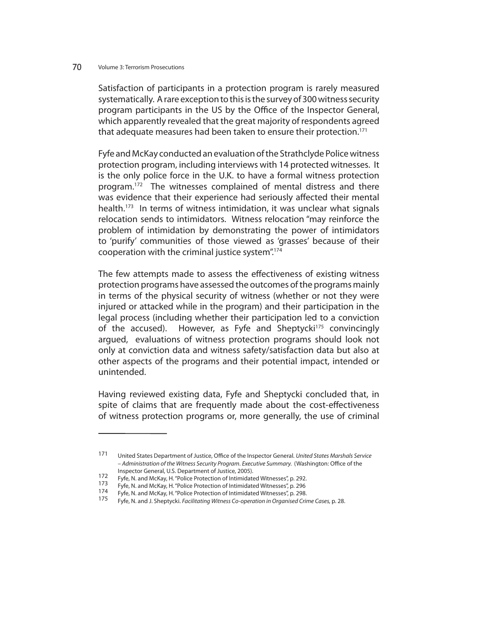Satisfaction of participants in a protection program is rarely measured systematically. A rare exception to this is the survey of 300 witness security program participants in the US by the Office of the Inspector General, which apparently revealed that the great majority of respondents agreed that adequate measures had been taken to ensure their protection.171

Fyfe and McKay conducted an evaluation of the Strathclyde Police witness protection program, including interviews with 14 protected witnesses. It is the only police force in the U.K. to have a formal witness protection program.172 The witnesses complained of mental distress and there was evidence that their experience had seriously affected their mental health.<sup>173</sup> In terms of witness intimidation, it was unclear what signals relocation sends to intimidators. Witness relocation "may reinforce the problem of intimidation by demonstrating the power of intimidators to 'purify' communities of those viewed as 'grasses' because of their cooperation with the criminal justice system".174

The few attempts made to assess the effectiveness of existing witness protection programs have assessed the outcomes of the programs mainly in terms of the physical security of witness (whether or not they were injured or attacked while in the program) and their participation in the legal process (including whether their participation led to a conviction of the accused). However, as Fyfe and Sheptycki<sup>175</sup> convincingly argued, evaluations of witness protection programs should look not only at conviction data and witness safety/satisfaction data but also at other aspects of the programs and their potential impact, intended or unintended.

Having reviewed existing data, Fyfe and Sheptycki concluded that, in spite of claims that are frequently made about the cost-effectiveness of witness protection programs or, more generally, the use of criminal

<sup>171</sup> United States Department of Justice, Office of the Inspector General. United States Marshals Service – Administration of the Witness Security Program. Executive Summary. (Washington: Office of the Inspector General, U.S. Department of Justice, 2005).<br>172 February Markay U. (Delive Department on of Intimidate

Fyfe, N. and McKay, H. "Police Protection of Intimidated Witnesses", p. 292.<br>173 Fyfe, N. and McKay, H. "Police Protection of Intimidated Witnesses", p. 296<br>174 Fyfe, N. and McKay, H. "Police Protection of Intimidated Witn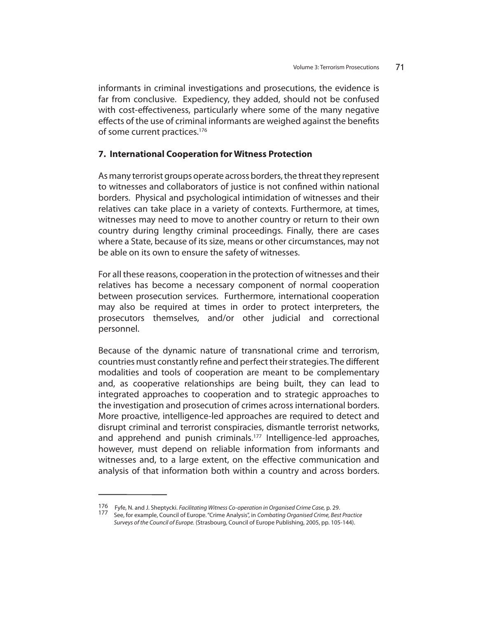informants in criminal investigations and prosecutions, the evidence is far from conclusive. Expediency, they added, should not be confused with cost-effectiveness, particularly where some of the many negative effects of the use of criminal informants are weighed against the benefits of some current practices.<sup>176</sup>

## **7. International Cooperation for Witness Protection**

As many terrorist groups operate across borders, the threat they represent to witnesses and collaborators of justice is not confined within national borders. Physical and psychological intimidation of witnesses and their relatives can take place in a variety of contexts. Furthermore, at times, witnesses may need to move to another country or return to their own country during lengthy criminal proceedings. Finally, there are cases where a State, because of its size, means or other circumstances, may not be able on its own to ensure the safety of witnesses.

For all these reasons, cooperation in the protection of witnesses and their relatives has become a necessary component of normal cooperation between prosecution services. Furthermore, international cooperation may also be required at times in order to protect interpreters, the prosecutors themselves, and/or other judicial and correctional personnel.

Because of the dynamic nature of transnational crime and terrorism, countries must constantly refine and perfect their strategies. The different modalities and tools of cooperation are meant to be complementary and, as cooperative relationships are being built, they can lead to integrated approaches to cooperation and to strategic approaches to the investigation and prosecution of crimes across international borders. More proactive, intelligence-led approaches are required to detect and disrupt criminal and terrorist conspiracies, dismantle terrorist networks, and apprehend and punish criminals.<sup>177</sup> Intelligence-led approaches, however, must depend on reliable information from informants and witnesses and, to a large extent, on the effective communication and analysis of that information both within a country and across borders.

<sup>176</sup> Fyfe, N. and J. Sheptycki. Facilitating Witness Co-operation in Organised Crime Case, p. 29.<br>177 See, for example, Council of Europe. "Crime Analysis", in Combating Organised Crime, Best Practice

Surveys of the Council of Europe. (Strasbourg, Council of Europe Publishing, 2005, pp. 105-144).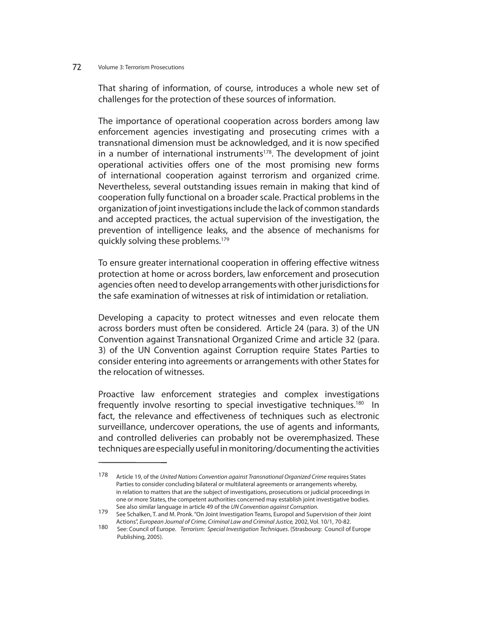That sharing of information, of course, introduces a whole new set of challenges for the protection of these sources of information.

The importance of operational cooperation across borders among law enforcement agencies investigating and prosecuting crimes with a transnational dimension must be acknowledged, and it is now specified in a number of international instruments<sup>178</sup>. The development of joint operational activities offers one of the most promising new forms of international cooperation against terrorism and organized crime. Nevertheless, several outstanding issues remain in making that kind of cooperation fully functional on a broader scale. Practical problems in the organization of joint investigations include the lack of common standards and accepted practices, the actual supervision of the investigation, the prevention of intelligence leaks, and the absence of mechanisms for quickly solving these problems.179

To ensure greater international cooperation in offering effective witness protection at home or across borders, law enforcement and prosecution agencies often need to develop arrangements with other jurisdictions for the safe examination of witnesses at risk of intimidation or retaliation.

Developing a capacity to protect witnesses and even relocate them across borders must often be considered. Article 24 (para. 3) of the UN Convention against Transnational Organized Crime and article 32 (para. 3) of the UN Convention against Corruption require States Parties to consider entering into agreements or arrangements with other States for the relocation of witnesses.

Proactive law enforcement strategies and complex investigations frequently involve resorting to special investigative techniques.<sup>180</sup> In fact, the relevance and effectiveness of techniques such as electronic surveillance, undercover operations, the use of agents and informants, and controlled deliveries can probably not be overemphasized. These techniques are especially useful in monitoring/documenting the activities

<sup>178</sup> Article 19, of the United Nations Convention against Transnational Organized Crime requires States Parties to consider concluding bilateral or multilateral agreements or arrangements whereby, in relation to matters that are the subject of investigations, prosecutions or judicial proceedings in one or more States, the competent authorities concerned may establish joint investigative bodies.

See also similar language in article 49 of the UN Convention against Corruption.<br>179 See Schalken, T. and M. Pronk. "On Joint Investigation Teams, Europol and Supervision of their Joint Actions", European Journal of Crime, Criminal Law and Criminal Justice, 2002, Vol. 10/1, 70-82.

<sup>180</sup> See: Council of Europe. Terrorism: Special Investigation Techniques. (Strasbourg: Council of Europe Publishing, 2005).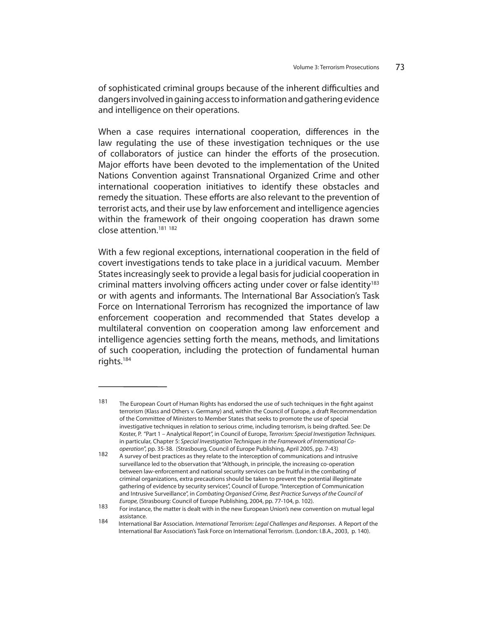of sophisticated criminal groups because of the inherent difficulties and dangers involved in gaining access to information and gathering evidence and intelligence on their operations.

When a case requires international cooperation, differences in the law regulating the use of these investigation techniques or the use of collaborators of justice can hinder the efforts of the prosecution. Major efforts have been devoted to the implementation of the United Nations Convention against Transnational Organized Crime and other international cooperation initiatives to identify these obstacles and remedy the situation. These efforts are also relevant to the prevention of terrorist acts, and their use by law enforcement and intelligence agencies within the framework of their ongoing cooperation has drawn some close attention.181 <sup>182</sup>

With a few regional exceptions, international cooperation in the field of covert investigations tends to take place in a juridical vacuum. Member States increasingly seek to provide a legal basis for judicial cooperation in criminal matters involving officers acting under cover or false identity<sup>183</sup> or with agents and informants. The International Bar Association's Task Force on International Terrorism has recognized the importance of law enforcement cooperation and recommended that States develop a multilateral convention on cooperation among law enforcement and intelligence agencies setting forth the means, methods, and limitations of such cooperation, including the protection of fundamental human rights.184

<sup>181</sup> The European Court of Human Rights has endorsed the use of such techniques in the fight against terrorism (Klass and Others v. Germany) and, within the Council of Europe, a draft Recommendation of the Committee of Ministers to Member States that seeks to promote the use of special investigative techniques in relation to serious crime, including terrorism, is being drafted. See: De Koster, P. "Part 1 - Analytical Report", in Council of Europe, Terrorism: Special Investigation Techniques. in particular, Chapter 5: Special Investigation Techniques in the Framework of International Co-

operation", pp. 35-38. (Strasbourg, Council of Europe Publishing, April 2005, pp. 7-43)<br>182 A survey of best practices as they relate to the interception of communications and intrusive surveillance led to the observation that "Although, in principle, the increasing co-operation between law-enforcement and national security services can be fruitful in the combating of criminal organizations, extra precautions should be taken to prevent the potential illegitimate gathering of evidence by security services", Council of Europe. "Interception of Communication and Intrusive Surveillance", in Combating Organised Crime, Best Practice Surveys of the Council of Europe, (Strasbourg: Council of

Europe, (Strasbourg: Council of Europe Publishing, 2004, pp. 77-104, p. 102). 183 For instance, the matter is dealt with in the new European Union's new convention on mutual legal assistance.<br>184 Internation

International Bar Association. International Terrorism: Legal Challenges and Responses. A Report of the International Bar Association's Task Force on International Terrorism. (London: I.B.A., 2003, p. 140).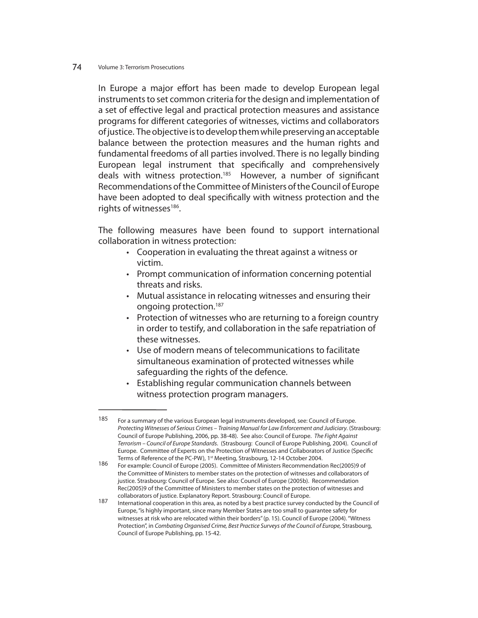In Europe a major effort has been made to develop European legal instruments to set common criteria for the design and implementation of a set of effective legal and practical protection measures and assistance programs for different categories of witnesses, victims and collaborators of justice. The objective is to develop them while preserving an acceptable balance between the protection measures and the human rights and fundamental freedoms of all parties involved. There is no legally binding European legal instrument that specifically and comprehensively deals with witness protection.<sup>185</sup> However, a number of significant Recommendations of the Committee of Ministers of the Council of Europe have been adopted to deal specifically with witness protection and the rights of witnesses<sup>186</sup>.

The following measures have been found to support international collaboration in witness protection:

- Cooperation in evaluating the threat against a witness or victim.
- Prompt communication of information concerning potential threats and risks.
- Mutual assistance in relocating witnesses and ensuring their ongoing protection.187
- Protection of witnesses who are returning to a foreign country in order to testify, and collaboration in the safe repatriation of these witnesses.
- Use of modern means of telecommunications to facilitate simultaneous examination of protected witnesses while safeguarding the rights of the defence.
- Establishing regular communication channels between witness protection program managers.

<sup>185</sup> For a summary of the various European legal instruments developed, see: Council of Europe. Protecting Witnesses of Serious Crimes – Training Manual for Law Enforcement and Judiciary. (Strasbourg: Council of Europe Publishing, 2006, pp. 38-48). See also: Council of Europe. The Fight Against Terrorism – Council of Europe Standards. (Strasbourg: Council of Europe Publishing, 2004). Council of Europe. Committee of Experts on the Protection of Witnesses and Collaborators of Justice (Specific Terms of Reference of the PC-PW), 1<sup>st</sup> Meeting, Strasbourg, 12-14 October 2004.

Terms of Reference of the PC-PW), 1st Meeting, Strasbourg, 12-14 October 2004.<br>186 For example: Council of Europe (2005). Committee of Ministers Recommendation Rec(2005)9 of the Committee of Ministers to member states on the protection of witnesses and collaborators of justice. Strasbourg: Council of Europe. See also: Council of Europe (2005b). Recommendation Rec(2005)9 of the Committee of Ministers to member states on the protection of witnesses and collaborators of justice. Explanatory Report. Strasbourg: Council of Europe.

International cooperation in this area, as noted by a best practice survey conducted by the Council of Europe, "is highly important, since many Member States are too small to guarantee safety for witnesses at risk who are relocated within their borders" (p. 15). Council of Europe (2004). "Witness Protection", in Combating Organised Crime, Best Practice Surveys of the Council of Europe, Strasbourg, Council of Europe Publishing, pp. 15-42.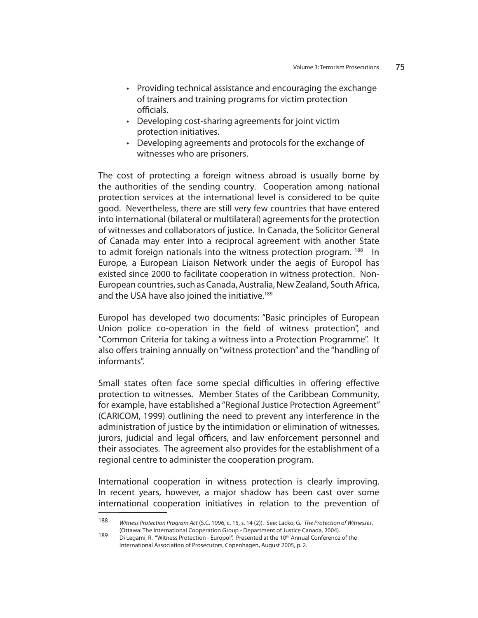- Providing technical assistance and encouraging the exchange of trainers and training programs for victim protection officials.
- Developing cost-sharing agreements for joint victim protection initiatives.
- Developing agreements and protocols for the exchange of witnesses who are prisoners.

The cost of protecting a foreign witness abroad is usually borne by the authorities of the sending country. Cooperation among national protection services at the international level is considered to be quite good. Nevertheless, there are still very few countries that have entered into international (bilateral or multilateral) agreements for the protection of witnesses and collaborators of justice. In Canada, the Solicitor General of Canada may enter into a reciprocal agreement with another State to admit foreign nationals into the witness protection program. <sup>188</sup> In Europe, a European Liaison Network under the aegis of Europol has existed since 2000 to facilitate cooperation in witness protection. Non-European countries, such as Canada, Australia, New Zealand, South Africa, and the USA have also joined the initiative.<sup>189</sup>

Europol has developed two documents: "Basic principles of European Union police co-operation in the field of witness protection", and "Common Criteria for taking a witness into a Protection Programme". It also offers training annually on "witness protection" and the "handling of informants".

Small states often face some special difficulties in offering effective protection to witnesses. Member States of the Caribbean Community, for example, have established a "Regional Justice Protection Agreement" (CARICOM, 1999) outlining the need to prevent any interference in the administration of justice by the intimidation or elimination of witnesses, jurors, judicial and legal officers, and law enforcement personnel and their associates. The agreement also provides for the establishment of a regional centre to administer the cooperation program.

International cooperation in witness protection is clearly improving. In recent years, however, a major shadow has been cast over some international cooperation initiatives in relation to the prevention of

<sup>188</sup> Witness Protection Program Act (S.C. 1996, c. 15, s. 14 (2)). See: Lacko, G. The Protection of Witnesses. (Ottawa: The International Cooperation Group - Department of Justice Canada, 2004).

Di Legami, R. "Witness Protection - Europol". Presented at the 10<sup>th</sup> Annual Conference of the International Association of Prosecutors, Copenhagen, August 2005, p. 2.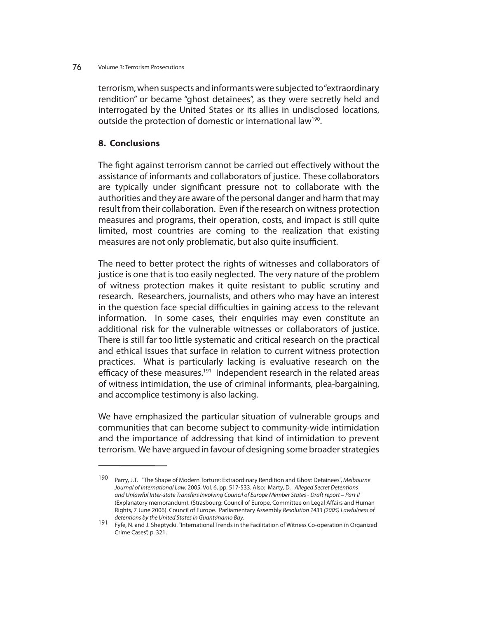terrorism, when suspects and informants were subjected to "extraordinary rendition" or became "ghost detainees", as they were secretly held and interrogated by the United States or its allies in undisclosed locations, outside the protection of domestic or international law<sup>190</sup>.

## **8. Conclusions**

The fight against terrorism cannot be carried out effectively without the assistance of informants and collaborators of justice. These collaborators are typically under significant pressure not to collaborate with the authorities and they are aware of the personal danger and harm that may result from their collaboration. Even if the research on witness protection measures and programs, their operation, costs, and impact is still quite limited, most countries are coming to the realization that existing measures are not only problematic, but also quite insufficient.

The need to better protect the rights of witnesses and collaborators of justice is one that is too easily neglected. The very nature of the problem of witness protection makes it quite resistant to public scrutiny and research. Researchers, journalists, and others who may have an interest in the question face special difficulties in gaining access to the relevant information. In some cases, their enquiries may even constitute an additional risk for the vulnerable witnesses or collaborators of justice. There is still far too little systematic and critical research on the practical and ethical issues that surface in relation to current witness protection practices. What is particularly lacking is evaluative research on the efficacy of these measures.<sup>191</sup> Independent research in the related areas of witness intimidation, the use of criminal informants, plea-bargaining, and accomplice testimony is also lacking.

We have emphasized the particular situation of vulnerable groups and communities that can become subject to community-wide intimidation and the importance of addressing that kind of intimidation to prevent terrorism. We have argued in favour of designing some broader strategies

<sup>190</sup> Parry, J.T. "The Shape of Modern Torture: Extraordinary Rendition and Ghost Detainees", Melbourne Journal of International Law, 2005, Vol. 6, pp. 517-533. Also: Marty, D. Alleged Secret Detentions and Unlawful Inter-state Transfers Involving Council of Europe Member States - Draft report – Part II (Explanatory memorandum). (Strasbourg: Council of Europe, Committee on Legal Affairs and Human Rights, 7 June 2006). Council of Europe. Parliamentary Assembly Resolution 1433 (2005) Lawfulness of

detentions by the United States in Guantánamo Bay.<br>191 Fyfe, N. and J. Sheptycki. "International Trends in the Facilitation of Witness Co-operation in Organized Crime Cases", p. 321.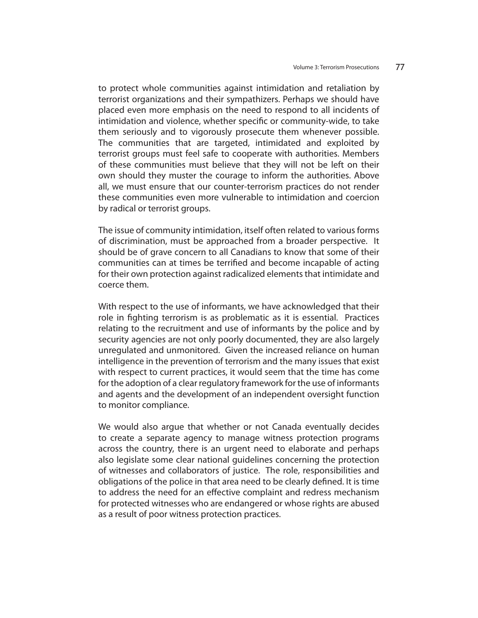to protect whole communities against intimidation and retaliation by terrorist organizations and their sympathizers. Perhaps we should have placed even more emphasis on the need to respond to all incidents of intimidation and violence, whether specific or community-wide, to take them seriously and to vigorously prosecute them whenever possible. The communities that are targeted, intimidated and exploited by terrorist groups must feel safe to cooperate with authorities. Members of these communities must believe that they will not be left on their own should they muster the courage to inform the authorities. Above all, we must ensure that our counter-terrorism practices do not render these communities even more vulnerable to intimidation and coercion by radical or terrorist groups.

The issue of community intimidation, itself often related to various forms of discrimination, must be approached from a broader perspective. It should be of grave concern to all Canadians to know that some of their communities can at times be terrified and become incapable of acting for their own protection against radicalized elements that intimidate and coerce them.

With respect to the use of informants, we have acknowledged that their role in fighting terrorism is as problematic as it is essential. Practices relating to the recruitment and use of informants by the police and by security agencies are not only poorly documented, they are also largely unregulated and unmonitored. Given the increased reliance on human intelligence in the prevention of terrorism and the many issues that exist with respect to current practices, it would seem that the time has come for the adoption of a clear regulatory framework for the use of informants and agents and the development of an independent oversight function to monitor compliance.

We would also argue that whether or not Canada eventually decides to create a separate agency to manage witness protection programs across the country, there is an urgent need to elaborate and perhaps also legislate some clear national guidelines concerning the protection of witnesses and collaborators of justice. The role, responsibilities and obligations of the police in that area need to be clearly defined. It is time to address the need for an effective complaint and redress mechanism for protected witnesses who are endangered or whose rights are abused as a result of poor witness protection practices.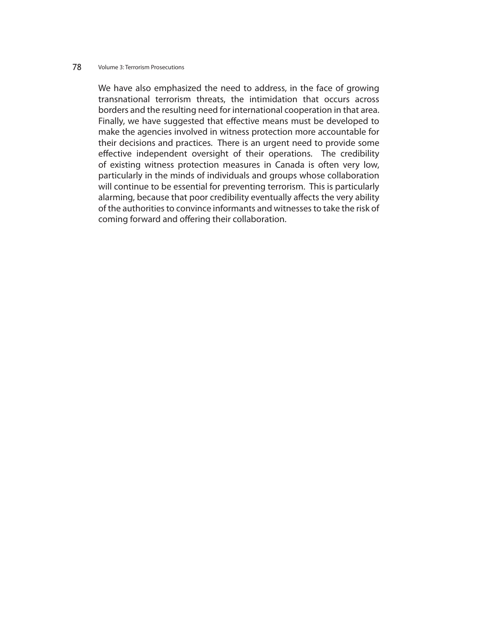We have also emphasized the need to address, in the face of growing transnational terrorism threats, the intimidation that occurs across borders and the resulting need for international cooperation in that area. Finally, we have suggested that effective means must be developed to make the agencies involved in witness protection more accountable for their decisions and practices. There is an urgent need to provide some effective independent oversight of their operations. The credibility of existing witness protection measures in Canada is often very low, particularly in the minds of individuals and groups whose collaboration will continue to be essential for preventing terrorism. This is particularly alarming, because that poor credibility eventually affects the very ability of the authorities to convince informants and witnesses to take the risk of coming forward and offering their collaboration.